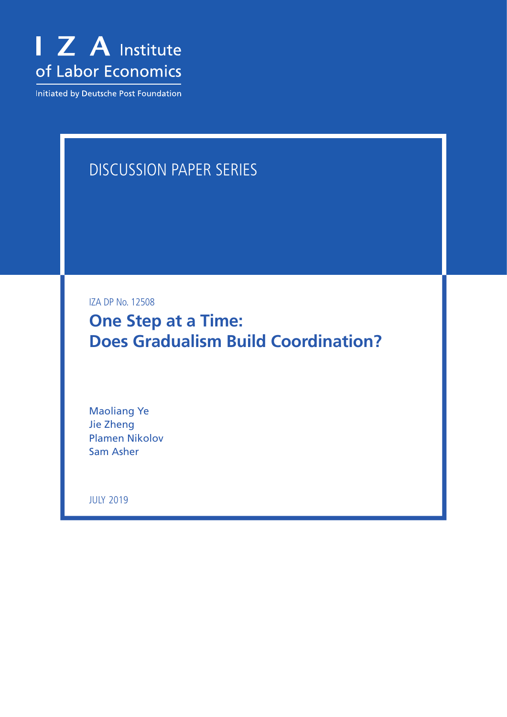

Initiated by Deutsche Post Foundation

# DISCUSSION PAPER SERIES

IZA DP No. 12508

**One Step at a Time: Does Gradualism Build Coordination?**

Maoliang Ye Jie Zheng Plamen Nikolov Sam Asher

JULY 2019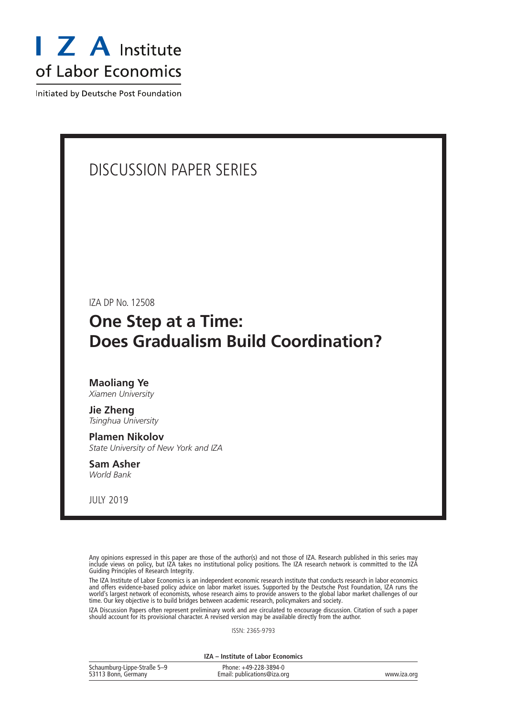

Initiated by Deutsche Post Foundation

# DISCUSSION PAPER SERIES

IZA DP No. 12508

# **One Step at a Time: Does Gradualism Build Coordination?**

# **Maoliang Ye**

*Xiamen University*

**Jie Zheng** *Tsinghua University*

## **Plamen Nikolov**

*State University of New York and IZA*

**Sam Asher** *World Bank*

JULY 2019

Any opinions expressed in this paper are those of the author(s) and not those of IZA. Research published in this series may include views on policy, but IZA takes no institutional policy positions. The IZA research network is committed to the IZA Guiding Principles of Research Integrity.

The IZA Institute of Labor Economics is an independent economic research institute that conducts research in labor economics and offers evidence-based policy advice on labor market issues. Supported by the Deutsche Post Foundation, IZA runs the world's largest network of economists, whose research aims to provide answers to the global labor market challenges of our time. Our key objective is to build bridges between academic research, policymakers and society.

IZA Discussion Papers often represent preliminary work and are circulated to encourage discussion. Citation of such a paper should account for its provisional character. A revised version may be available directly from the author.

ISSN: 2365-9793

**IZA – Institute of Labor Economics**

| Schaumburg-Lippe-Straße 5-9 | Phone: +49-228-3894-0       |             |
|-----------------------------|-----------------------------|-------------|
| 53113 Bonn, Germany         | Email: publications@iza.org | www.iza.org |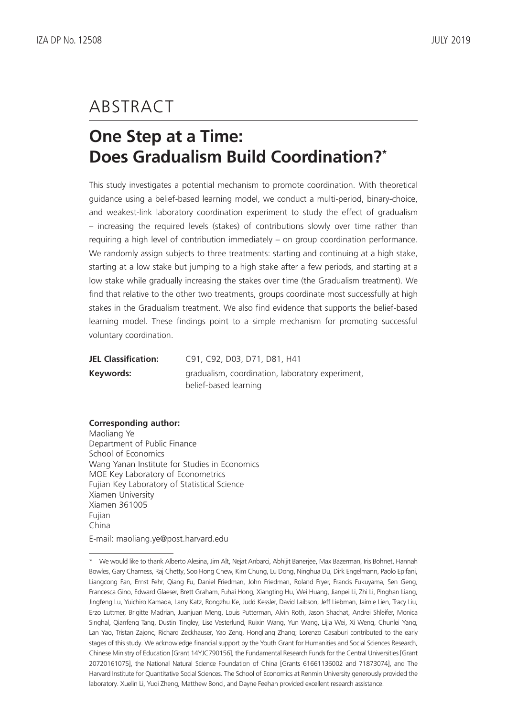# ABSTRACT

# **One Step at a Time: Does Gradualism Build Coordination?\***

This study investigates a potential mechanism to promote coordination. With theoretical guidance using a belief-based learning model, we conduct a multi-period, binary-choice, and weakest-link laboratory coordination experiment to study the effect of gradualism – increasing the required levels (stakes) of contributions slowly over time rather than requiring a high level of contribution immediately – on group coordination performance. We randomly assign subjects to three treatments: starting and continuing at a high stake, starting at a low stake but jumping to a high stake after a few periods, and starting at a low stake while gradually increasing the stakes over time (the Gradualism treatment). We find that relative to the other two treatments, groups coordinate most successfully at high stakes in the Gradualism treatment. We also find evidence that supports the belief-based learning model. These findings point to a simple mechanism for promoting successful voluntary coordination.

| <b>JEL Classification:</b> | C91, C92, D03, D71, D81, H41                     |  |  |  |
|----------------------------|--------------------------------------------------|--|--|--|
| Keywords:                  | gradualism, coordination, laboratory experiment, |  |  |  |
|                            | belief-based learning                            |  |  |  |

### **Corresponding author:**

Maoliang Ye Department of Public Finance School of Economics Wang Yanan Institute for Studies in Economics MOE Key Laboratory of Econometrics Fujian Key Laboratory of Statistical Science Xiamen University Xiamen 361005 Fujian China

E-mail: maoliang.ye@post.harvard.edu

<sup>\*</sup> We would like to thank Alberto Alesina, Jim Alt, Nejat Anbarci, Abhijit Banerjee, Max Bazerman, Iris Bohnet, Hannah Bowles, Gary Charness, Raj Chetty, Soo Hong Chew, Kim Chung, Lu Dong, Ninghua Du, Dirk Engelmann, Paolo Epifani, Liangcong Fan, Ernst Fehr, Qiang Fu, Daniel Friedman, John Friedman, Roland Fryer, Francis Fukuyama, Sen Geng, Francesca Gino, Edward Glaeser, Brett Graham, Fuhai Hong, Xiangting Hu, Wei Huang, Jianpei Li, Zhi Li, Pinghan Liang, Jingfeng Lu, Yuichiro Kamada, Larry Katz, Rongzhu Ke, Judd Kessler, David Laibson, Jeff Liebman, Jaimie Lien, Tracy Liu, Erzo Luttmer, Brigitte Madrian, Juanjuan Meng, Louis Putterman, Alvin Roth, Jason Shachat, Andrei Shleifer, Monica Singhal, Qianfeng Tang, Dustin Tingley, Lise Vesterlund, Ruixin Wang, Yun Wang, Lijia Wei, Xi Weng, Chunlei Yang, Lan Yao, Tristan Zajonc, Richard Zeckhauser, Yao Zeng, Hongliang Zhang; Lorenzo Casaburi contributed to the early stages of this study. We acknowledge financial support by the Youth Grant for Humanities and Social Sciences Research, Chinese Ministry of Education [Grant 14YJC790156], the Fundamental Research Funds for the Central Universities [Grant 20720161075], the National Natural Science Foundation of China [Grants 61661136002 and 71873074], and The Harvard Institute for Quantitative Social Sciences. The School of Economics at Renmin University generously provided the laboratory. Xuelin Li, Yuqi Zheng, Matthew Bonci, and Dayne Feehan provided excellent research assistance.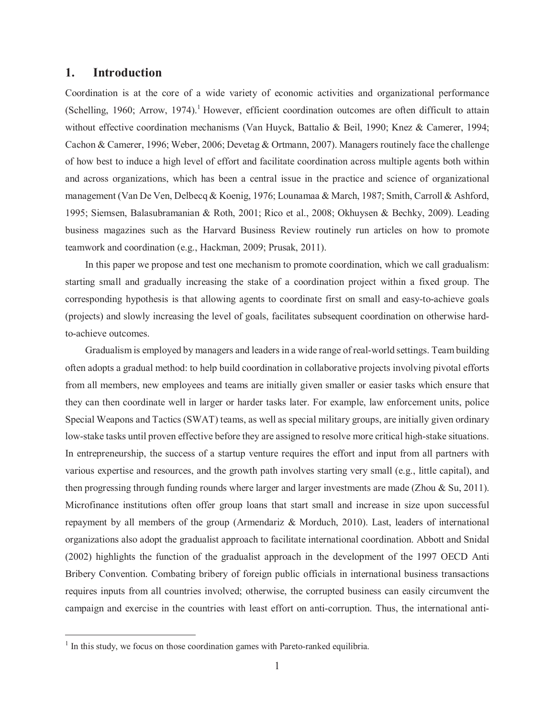#### 1. **Introduction**

Coordination is at the core of a wide variety of economic activities and organizational performance (Schelling, 1960; Arrow, 1974).<sup>1</sup> However, efficient coordination outcomes are often difficult to attain without effective coordination mechanisms (Van Huyck, Battalio & Beil, 1990; Knez & Camerer, 1994; Cachon & Camerer, 1996; Weber, 2006; Devetag & Ortmann, 2007). Managers routinely face the challenge of how best to induce a high level of effort and facilitate coordination across multiple agents both within and across organizations, which has been a central issue in the practice and science of organizational management (Van De Ven, Delbecq & Koenig, 1976; Lounamaa & March, 1987; Smith, Carroll & Ashford, 1995; Siemsen, Balasubramanian & Roth, 2001; Rico et al., 2008; Okhuysen & Bechky, 2009). Leading business magazines such as the Harvard Business Review routinely run articles on how to promote teamwork and coordination (e.g., Hackman, 2009; Prusak, 2011).

In this paper we propose and test one mechanism to promote coordination, which we call gradualism: starting small and gradually increasing the stake of a coordination project within a fixed group. The corresponding hypothesis is that allowing agents to coordinate first on small and easy-to-achieve goals (projects) and slowly increasing the level of goals, facilitates subsequent coordination on otherwise hardto-achieve outcomes.

Gradualism is employed by managers and leaders in a wide range of real-world settings. Team building often adopts a gradual method: to help build coordination in collaborative projects involving pivotal efforts from all members, new employees and teams are initially given smaller or easier tasks which ensure that they can then coordinate well in larger or harder tasks later. For example, law enforcement units, police Special Weapons and Tactics (SWAT) teams, as well as special military groups, are initially given ordinary low-stake tasks until proven effective before they are assigned to resolve more critical high-stake situations. In entrepreneurship, the success of a startup venture requires the effort and input from all partners with various expertise and resources, and the growth path involves starting very small (e.g., little capital), and then progressing through funding rounds where larger and larger investments are made (Zhou & Su, 2011). Microfinance institutions often offer group loans that start small and increase in size upon successful repayment by all members of the group (Armendariz & Morduch, 2010). Last, leaders of international organizations also adopt the gradualist approach to facilitate international coordination. Abbott and Snidal (2002) highlights the function of the gradualist approach in the development of the 1997 OECD Anti Bribery Convention. Combating bribery of foreign public officials in international business transactions requires inputs from all countries involved; otherwise, the corrupted business can easily circumvent the campaign and exercise in the countries with least effort on anti-corruption. Thus, the international anti-

<sup>&</sup>lt;sup>1</sup> In this study, we focus on those coordination games with Pareto-ranked equilibria.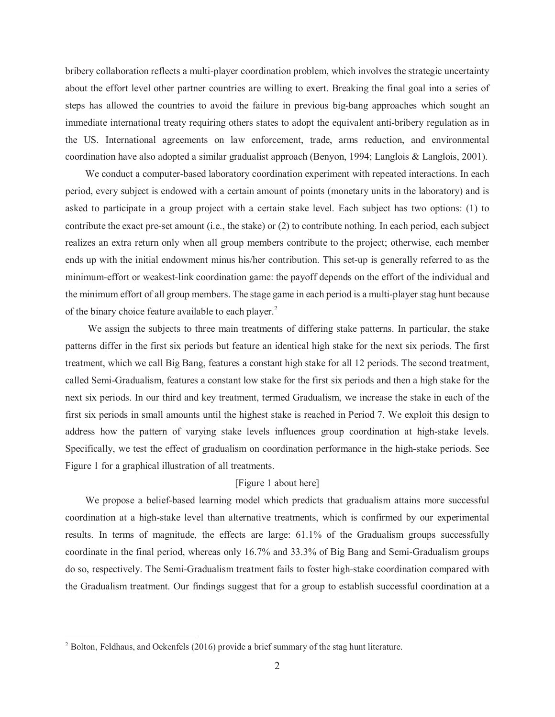bribery collaboration reflects a multi-player coordination problem, which involves the strategic uncertainty about the effort level other partner countries are willing to exert. Breaking the final goal into a series of steps has allowed the countries to avoid the failure in previous big-bang approaches which sought an immediate international treaty requiring others states to adopt the equivalent anti-bribery regulation as in the US. International agreements on law enforcement, trade, arms reduction, and environmental coordination have also adopted a similar gradualist approach (Benyon, 1994; Langlois & Langlois, 2001).

We conduct a computer-based laboratory coordination experiment with repeated interactions. In each period, every subject is endowed with a certain amount of points (monetary units in the laboratory) and is asked to participate in a group project with a certain stake level. Each subject has two options: (1) to contribute the exact pre-set amount (i.e., the stake) or  $(2)$  to contribute nothing. In each period, each subject realizes an extra return only when all group members contribute to the project; otherwise, each member ends up with the initial endowment minus his/her contribution. This set-up is generally referred to as the minimum-effort or weakest-link coordination game: the payoff depends on the effort of the individual and the minimum effort of all group members. The stage game in each period is a multi-player stag hunt because of the binary choice feature available to each player.<sup>2</sup>

We assign the subjects to three main treatments of differing stake patterns. In particular, the stake patterns differ in the first six periods but feature an identical high stake for the next six periods. The first treatment, which we call Big Bang, features a constant high stake for all 12 periods. The second treatment, called Semi-Gradualism, features a constant low stake for the first six periods and then a high stake for the next six periods. In our third and key treatment, termed Gradualism, we increase the stake in each of the first six periods in small amounts until the highest stake is reached in Period 7. We exploit this design to address how the pattern of varying stake levels influences group coordination at high-stake levels. Specifically, we test the effect of gradualism on coordination performance in the high-stake periods. See Figure 1 for a graphical illustration of all treatments.

#### [Figure 1 about here]

We propose a belief-based learning model which predicts that gradualism attains more successful coordination at a high-stake level than alternative treatments, which is confirmed by our experimental results. In terms of magnitude, the effects are large: 61.1% of the Gradualism groups successfully coordinate in the final period, whereas only 16.7% and 33.3% of Big Bang and Semi-Gradualism groups do so, respectively. The Semi-Gradualism treatment fails to foster high-stake coordination compared with the Gradualism treatment. Our findings suggest that for a group to establish successful coordination at a

<sup>&</sup>lt;sup>2</sup> Bolton, Feldhaus, and Ockenfels (2016) provide a brief summary of the stag hunt literature.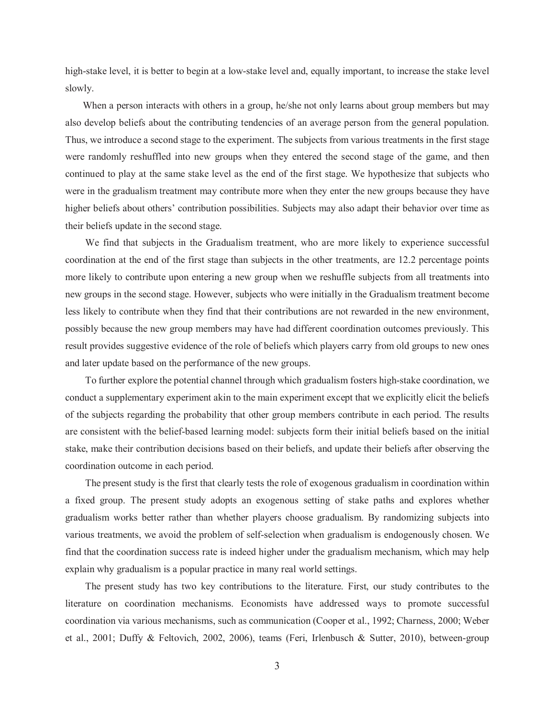high-stake level, it is better to begin at a low-stake level and, equally important, to increase the stake level slowly.

When a person interacts with others in a group, he/she not only learns about group members but may also develop beliefs about the contributing tendencies of an average person from the general population. Thus, we introduce a second stage to the experiment. The subjects from various treatments in the first stage were randomly reshuffled into new groups when they entered the second stage of the game, and then continued to play at the same stake level as the end of the first stage. We hypothesize that subjects who were in the gradualism treatment may contribute more when they enter the new groups because they have higher beliefs about others' contribution possibilities. Subjects may also adapt their behavior over time as their beliefs update in the second stage.

We find that subjects in the Gradualism treatment, who are more likely to experience successful coordination at the end of the first stage than subjects in the other treatments, are 12.2 percentage points more likely to contribute upon entering a new group when we reshuffle subjects from all treatments into new groups in the second stage. However, subjects who were initially in the Gradualism treatment become less likely to contribute when they find that their contributions are not rewarded in the new environment, possibly because the new group members may have had different coordination outcomes previously. This result provides suggestive evidence of the role of beliefs which players carry from old groups to new ones and later update based on the performance of the new groups.

To further explore the potential channel through which gradualism fosters high-stake coordination, we conduct a supplementary experiment akin to the main experiment except that we explicitly elicit the beliefs of the subjects regarding the probability that other group members contribute in each period. The results are consistent with the belief-based learning model: subjects form their initial beliefs based on the initial stake, make their contribution decisions based on their beliefs, and update their beliefs after observing the coordination outcome in each period.

The present study is the first that clearly tests the role of exogenous gradualism in coordination within a fixed group. The present study adopts an exogenous setting of stake paths and explores whether gradualism works better rather than whether players choose gradualism. By randomizing subjects into various treatments, we avoid the problem of self-selection when gradualism is endogenously chosen. We find that the coordination success rate is indeed higher under the gradualism mechanism, which may help explain why gradualism is a popular practice in many real world settings.

The present study has two key contributions to the literature. First, our study contributes to the literature on coordination mechanisms. Economists have addressed ways to promote successful coordination via various mechanisms, such as communication (Cooper et al., 1992; Charness, 2000; Weber et al., 2001; Duffy & Feltovich, 2002, 2006), teams (Feri, Irlenbusch & Sutter, 2010), between-group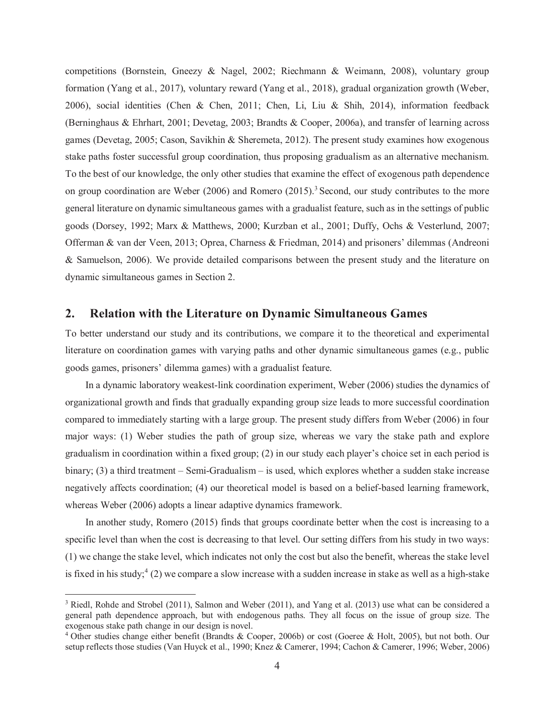competitions (Bornstein, Gneezy & Nagel, 2002; Riechmann & Weimann, 2008), voluntary group formation (Yang et al., 2017), voluntary reward (Yang et al., 2018), gradual organization growth (Weber, 2006), social identities (Chen & Chen, 2011; Chen, Li, Liu & Shih, 2014), information feedback (Berninghaus & Ehrhart, 2001; Devetag, 2003; Brandts & Cooper, 2006a), and transfer of learning across games (Devetag, 2005; Cason, Savikhin & Sheremeta, 2012). The present study examines how exogenous stake paths foster successful group coordination, thus proposing gradualism as an alternative mechanism. To the best of our knowledge, the only other studies that examine the effect of exogenous path dependence on group coordination are Weber (2006) and Romero (2015).<sup>3</sup> Second, our study contributes to the more general literature on dynamic simultaneous games with a gradualist feature, such as in the settings of public goods (Dorsey, 1992; Marx & Matthews, 2000; Kurzban et al., 2001; Duffy, Ochs & Vesterlund, 2007; Offerman & van der Veen, 2013; Oprea, Charness & Friedman, 2014) and prisoners' dilemmas (Andreoni & Samuelson, 2006). We provide detailed comparisons between the present study and the literature on dynamic simultaneous games in Section 2.

#### $2.$ **Relation with the Literature on Dynamic Simultaneous Games**

To better understand our study and its contributions, we compare it to the theoretical and experimental literature on coordination games with varying paths and other dynamic simultaneous games (e.g., public goods games, prisoners' dilemma games) with a gradualist feature.

In a dynamic laboratory weakest-link coordination experiment, Weber (2006) studies the dynamics of organizational growth and finds that gradually expanding group size leads to more successful coordination compared to immediately starting with a large group. The present study differs from Weber (2006) in four major ways: (1) Weber studies the path of group size, whereas we vary the stake path and explore gradualism in coordination within a fixed group;  $(2)$  in our study each player's choice set in each period is binary;  $(3)$  a third treatment – Semi-Gradualism – is used, which explores whether a sudden stake increase negatively affects coordination; (4) our theoretical model is based on a belief-based learning framework, whereas Weber (2006) adopts a linear adaptive dynamics framework.

In another study, Romero (2015) finds that groups coordinate better when the cost is increasing to a specific level than when the cost is decreasing to that level. Our setting differs from his study in two ways: (1) we change the stake level, which indicates not only the cost but also the benefit, whereas the stake level is fixed in his study;  $(2)$  we compare a slow increase with a sudden increase in stake as well as a high-stake

<sup>&</sup>lt;sup>3</sup> Riedl, Rohde and Strobel (2011), Salmon and Weber (2011), and Yang et al. (2013) use what can be considered a general path dependence approach, but with endogenous paths. They all focus on the issue of group size. The exogenous stake path change in our design is novel.

<sup>&</sup>lt;sup>4</sup> Other studies change either benefit (Brandts & Cooper, 2006b) or cost (Goeree & Holt, 2005), but not both. Our setup reflects those studies (Van Huyck et al., 1990; Knez & Camerer, 1994; Cachon & Camerer, 1996; Weber, 2006)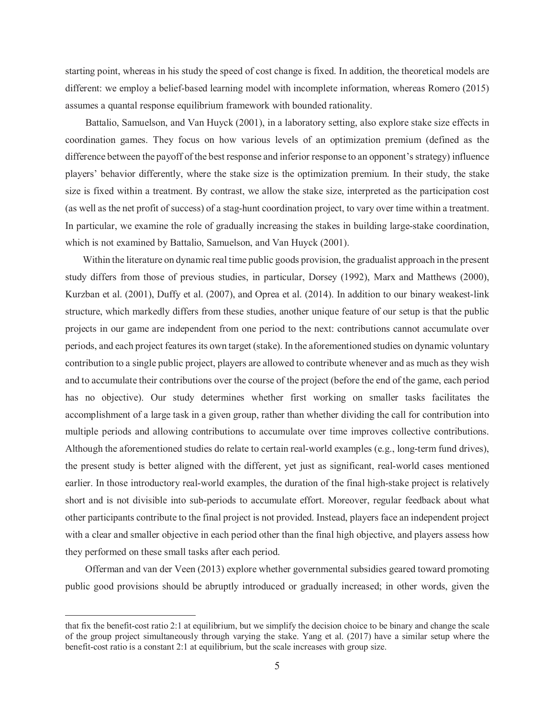starting point, whereas in his study the speed of cost change is fixed. In addition, the theoretical models are different: we employ a belief-based learning model with incomplete information, whereas Romero (2015) assumes a quantal response equilibrium framework with bounded rationality.

Battalio, Samuelson, and Van Huyck (2001), in a laboratory setting, also explore stake size effects in coordination games. They focus on how various levels of an optimization premium (defined as the difference between the payoff of the best response and inferior response to an opponent's strategy) influence players' behavior differently, where the stake size is the optimization premium. In their study, the stake size is fixed within a treatment. By contrast, we allow the stake size, interpreted as the participation cost (as well as the net profit of success) of a stag-hunt coordination project, to vary over time within a treatment. In particular, we examine the role of gradually increasing the stakes in building large-stake coordination, which is not examined by Battalio, Samuelson, and Van Huyck (2001).

Within the literature on dynamic real time public goods provision, the gradualist approach in the present study differs from those of previous studies, in particular, Dorsey (1992), Marx and Matthews (2000), Kurzban et al. (2001), Duffy et al. (2007), and Oprea et al. (2014). In addition to our binary weakest-link structure, which markedly differs from these studies, another unique feature of our setup is that the public projects in our game are independent from one period to the next: contributions cannot accumulate over periods, and each project features its own target (stake). In the aforementioned studies on dynamic voluntary contribution to a single public project, players are allowed to contribute whenever and as much as they wish and to accumulate their contributions over the course of the project (before the end of the game, each period has no objective). Our study determines whether first working on smaller tasks facilitates the accomplishment of a large task in a given group, rather than whether dividing the call for contribution into multiple periods and allowing contributions to accumulate over time improves collective contributions. Although the aforementioned studies do relate to certain real-world examples (e.g., long-term fund drives), the present study is better aligned with the different, yet just as significant, real-world cases mentioned earlier. In those introductory real-world examples, the duration of the final high-stake project is relatively short and is not divisible into sub-periods to accumulate effort. Moreover, regular feedback about what other participants contribute to the final project is not provided. Instead, players face an independent project with a clear and smaller objective in each period other than the final high objective, and players assess how they performed on these small tasks after each period.

Offerman and van der Veen (2013) explore whether governmental subsidies geared toward promoting public good provisions should be abruptly introduced or gradually increased; in other words, given the

that fix the benefit-cost ratio 2:1 at equilibrium, but we simplify the decision choice to be binary and change the scale of the group project simultaneously through varying the stake. Yang et al. (2017) have a similar setup where the benefit-cost ratio is a constant 2:1 at equilibrium, but the scale increases with group size.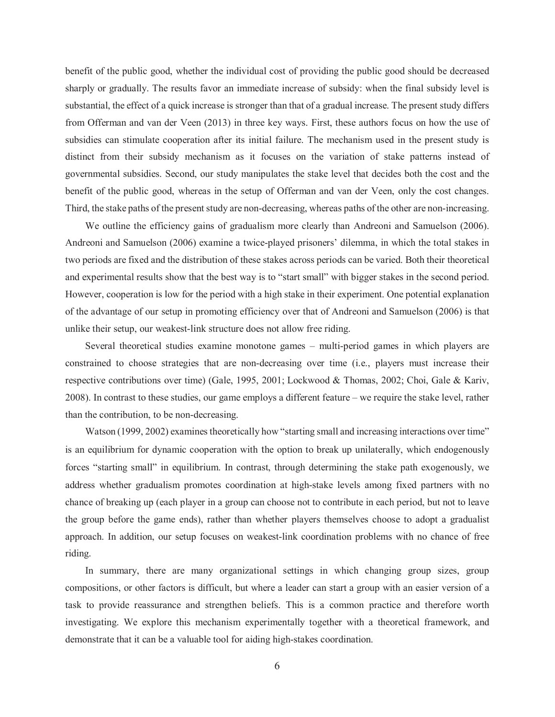benefit of the public good, whether the individual cost of providing the public good should be decreased sharply or gradually. The results favor an immediate increase of subsidy: when the final subsidy level is substantial, the effect of a quick increase is stronger than that of a gradual increase. The present study differs from Offerman and van der Veen (2013) in three key ways. First, these authors focus on how the use of subsidies can stimulate cooperation after its initial failure. The mechanism used in the present study is distinct from their subsidy mechanism as it focuses on the variation of stake patterns instead of governmental subsidies. Second, our study manipulates the stake level that decides both the cost and the benefit of the public good, whereas in the setup of Offerman and van der Veen, only the cost changes. Third, the stake paths of the present study are non-decreasing, whereas paths of the other are non-increasing.

We outline the efficiency gains of gradualism more clearly than Andreoni and Samuelson (2006). Andreoni and Samuelson (2006) examine a twice-played prisoners' dilemma, in which the total stakes in two periods are fixed and the distribution of these stakes across periods can be varied. Both their theoretical and experimental results show that the best way is to "start small" with bigger stakes in the second period. However, cooperation is low for the period with a high stake in their experiment. One potential explanation of the advantage of our setup in promoting efficiency over that of Andreoni and Samuelson (2006) is that unlike their setup, our weakest-link structure does not allow free riding.

Several theoretical studies examine monotone games – multi-period games in which players are constrained to choose strategies that are non-decreasing over time (i.e., players must increase their respective contributions over time) (Gale, 1995, 2001; Lockwood & Thomas, 2002; Choi, Gale & Kariv, 2008). In contrast to these studies, our game employs a different feature – we require the stake level, rather than the contribution, to be non-decreasing.

Watson (1999, 2002) examines theoretically how "starting small and increasing interactions over time" is an equilibrium for dynamic cooperation with the option to break up unilaterally, which endogenously forces "starting small" in equilibrium. In contrast, through determining the stake path exogenously, we address whether gradualism promotes coordination at high-stake levels among fixed partners with no chance of breaking up (each player in a group can choose not to contribute in each period, but not to leave the group before the game ends), rather than whether players themselves choose to adopt a gradualist approach. In addition, our setup focuses on weakest-link coordination problems with no chance of free riding.

In summary, there are many organizational settings in which changing group sizes, group compositions, or other factors is difficult, but where a leader can start a group with an easier version of a task to provide reassurance and strengthen beliefs. This is a common practice and therefore worth investigating. We explore this mechanism experimentally together with a theoretical framework, and demonstrate that it can be a valuable tool for aiding high-stakes coordination.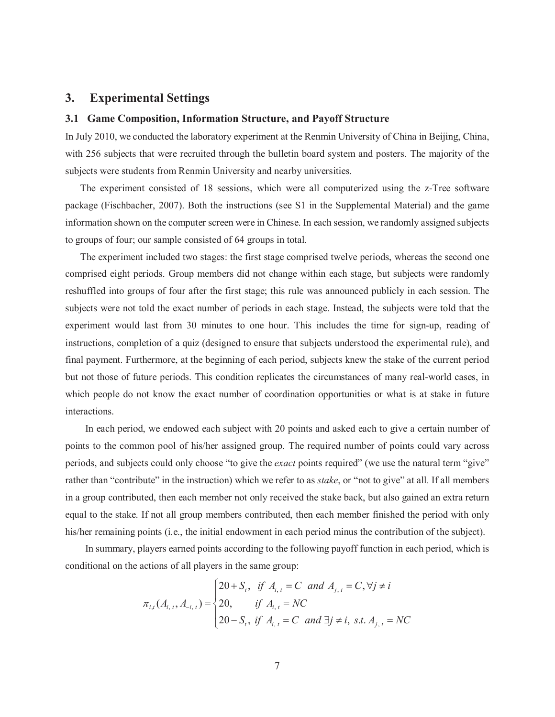#### **Experimental Settings** 3.

#### 3.1 Game Composition, Information Structure, and Payoff Structure

In July 2010, we conducted the laboratory experiment at the Renmin University of China in Beijing, China, with 256 subjects that were recruited through the bulletin board system and posters. The majority of the subjects were students from Renmin University and nearby universities.

The experiment consisted of 18 sessions, which were all computerized using the z-Tree software package (Fischbacher, 2007). Both the instructions (see S1 in the Supplemental Material) and the game information shown on the computer screen were in Chinese. In each session, we randomly assigned subjects to groups of four; our sample consisted of 64 groups in total.

The experiment included two stages: the first stage comprised twelve periods, whereas the second one comprised eight periods. Group members did not change within each stage, but subjects were randomly reshuffled into groups of four after the first stage; this rule was announced publicly in each session. The subjects were not told the exact number of periods in each stage. Instead, the subjects were told that the experiment would last from 30 minutes to one hour. This includes the time for sign-up, reading of instructions, completion of a quiz (designed to ensure that subjects understood the experimental rule), and final payment. Furthermore, at the beginning of each period, subjects knew the stake of the current period but not those of future periods. This condition replicates the circumstances of many real-world cases, in which people do not know the exact number of coordination opportunities or what is at stake in future interactions.

In each period, we endowed each subject with 20 points and asked each to give a certain number of points to the common pool of his/her assigned group. The required number of points could vary across periods, and subjects could only choose "to give the exact points required" (we use the natural term "give" rather than "contribute" in the instruction) which we refer to as *stake*, or "not to give" at all. If all members in a group contributed, then each member not only received the stake back, but also gained an extra return equal to the stake. If not all group members contributed, then each member finished the period with only his/her remaining points (i.e., the initial endowment in each period minus the contribution of the subject).

In summary, players earned points according to the following payoff function in each period, which is conditional on the actions of all players in the same group:

$$
\pi_{i,t}(A_{i,t}, A_{-i,t}) = \begin{cases}\n20 + S_t, & \text{if } A_{i,t} = C \text{ and } A_{j,t} = C, \forall j \neq i \\
20, & \text{if } A_{i,t} = NC \\
20 - S_t, & \text{if } A_{i,t} = C \text{ and } \exists j \neq i, \text{ s.t. } A_{j,t} = NC\n\end{cases}
$$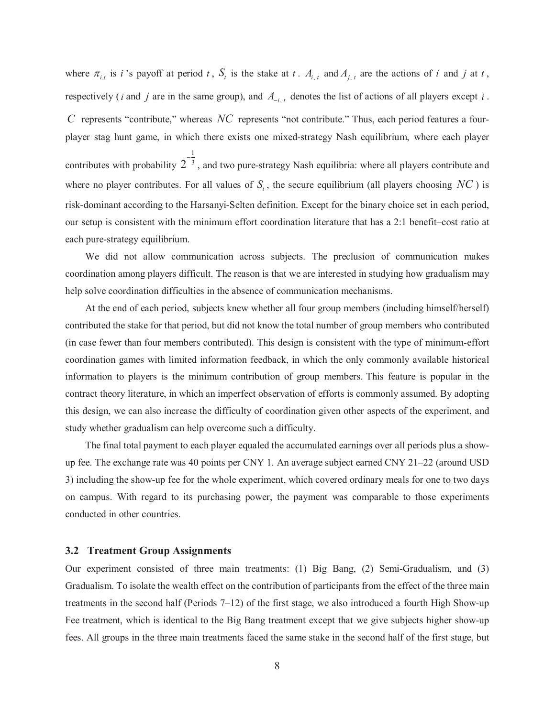where  $\pi_{i,t}$  is *i*'s payoff at period *t*,  $S_t$  is the stake at *t*.  $A_{i,t}$  and  $A_{i,t}$  are the actions of *i* and *j* at *t*, respectively (*i* and *j* are in the same group), and  $A_{-i,t}$  denotes the list of actions of all players except *i*.  $C$  represents "contribute," whereas  $NC$  represents "not contribute." Thus, each period features a fourplayer stag hunt game, in which there exists one mixed-strategy Nash equilibrium, where each player contributes with probability  $2^{-\frac{1}{3}}$ , and two pure-strategy Nash equilibria: where all players contribute and where no player contributes. For all values of  $S<sub>i</sub>$ , the secure equilibrium (all players choosing  $NC$ ) is risk-dominant according to the Harsanyi-Selten definition. Except for the binary choice set in each period, our setup is consistent with the minimum effort coordination literature that has a 2:1 benefit-cost ratio at each pure-strategy equilibrium.

We did not allow communication across subjects. The preclusion of communication makes coordination among players difficult. The reason is that we are interested in studying how gradualism may help solve coordination difficulties in the absence of communication mechanisms.

At the end of each period, subjects knew whether all four group members (including himself/herself) contributed the stake for that period, but did not know the total number of group members who contributed (in case fewer than four members contributed). This design is consistent with the type of minimum-effort coordination games with limited information feedback, in which the only commonly available historical information to players is the minimum contribution of group members. This feature is popular in the contract theory literature, in which an imperfect observation of efforts is commonly assumed. By adopting this design, we can also increase the difficulty of coordination given other aspects of the experiment, and study whether gradualism can help overcome such a difficulty.

The final total payment to each player equaled the accumulated earnings over all periods plus a showup fee. The exchange rate was 40 points per CNY 1. An average subject earned CNY  $21-22$  (around USD 3) including the show-up fee for the whole experiment, which covered ordinary meals for one to two days on campus. With regard to its purchasing power, the payment was comparable to those experiments conducted in other countries.

#### **3.2 Treatment Group Assignments**

Our experiment consisted of three main treatments: (1) Big Bang, (2) Semi-Gradualism, and (3) Gradualism. To isolate the wealth effect on the contribution of participants from the effect of the three main treatments in the second half (Periods  $7-12$ ) of the first stage, we also introduced a fourth High Show-up Fee treatment, which is identical to the Big Bang treatment except that we give subjects higher show-up fees. All groups in the three main treatments faced the same stake in the second half of the first stage, but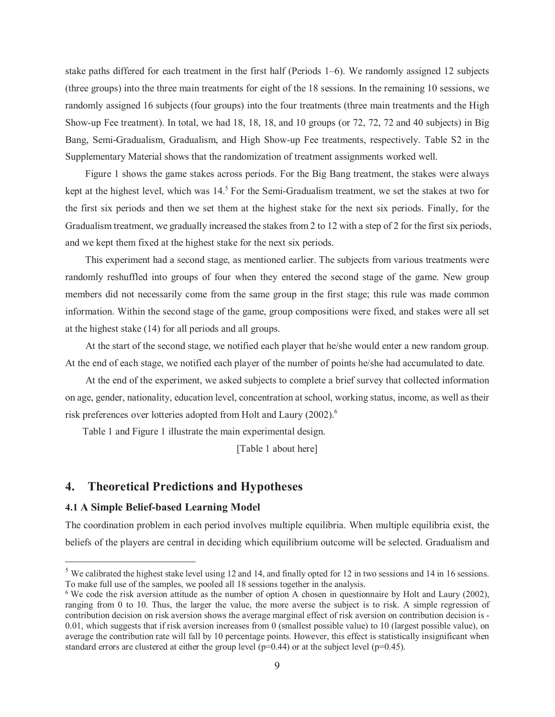stake paths differed for each treatment in the first half (Periods  $1-6$ ). We randomly assigned 12 subjects (three groups) into the three main treatments for eight of the 18 sessions. In the remaining 10 sessions, we randomly assigned 16 subjects (four groups) into the four treatments (three main treatments and the High Show-up Fee treatment). In total, we had 18, 18, 18, and 10 groups (or 72, 72, 72 and 40 subjects) in Big Bang, Semi-Gradualism, Gradualism, and High Show-up Fee treatments, respectively. Table S2 in the Supplementary Material shows that the randomization of treatment assignments worked well.

Figure 1 shows the game stakes across periods. For the Big Bang treatment, the stakes were always kept at the highest level, which was  $14<sup>5</sup>$  For the Semi-Gradualism treatment, we set the stakes at two for the first six periods and then we set them at the highest stake for the next six periods. Finally, for the Gradualism treatment, we gradually increased the stakes from 2 to 12 with a step of 2 for the first six periods, and we kept them fixed at the highest stake for the next six periods.

This experiment had a second stage, as mentioned earlier. The subjects from various treatments were randomly reshuffled into groups of four when they entered the second stage of the game. New group members did not necessarily come from the same group in the first stage; this rule was made common information. Within the second stage of the game, group compositions were fixed, and stakes were all set at the highest stake (14) for all periods and all groups.

At the start of the second stage, we notified each player that he/she would enter a new random group. At the end of each stage, we notified each player of the number of points he/she had accumulated to date.

At the end of the experiment, we asked subjects to complete a brief survey that collected information on age, gender, nationality, education level, concentration at school, working status, income, as well as their risk preferences over lotteries adopted from Holt and Laury (2002).<sup>6</sup>

Table 1 and Figure 1 illustrate the main experimental design.

[Table 1 about here]

#### 4. **Theoretical Predictions and Hypotheses**

#### **4.1 A Simple Belief-based Learning Model**

The coordination problem in each period involves multiple equilibria. When multiple equilibria exist, the beliefs of the players are central in deciding which equilibrium outcome will be selected. Gradualism and

 $5$  We calibrated the highest stake level using 12 and 14, and finally opted for 12 in two sessions and 14 in 16 sessions. To make full use of the samples, we pooled all 18 sessions together in the analysis.

 $6$  We code the risk aversion attitude as the number of option A chosen in questionnaire by Holt and Laury (2002), ranging from 0 to 10. Thus, the larger the value, the more averse the subject is to risk. A simple regression of contribution decision on risk aversion shows the average marginal effect of risk aversion on contribution decision is -0.01, which suggests that if risk aversion increases from 0 (smallest possible value) to 10 (largest possible value), on average the contribution rate will fall by 10 percentage points. However, this effect is statistically insignificant when standard errors are clustered at either the group level  $(p=0.44)$  or at the subject level  $(p=0.45)$ .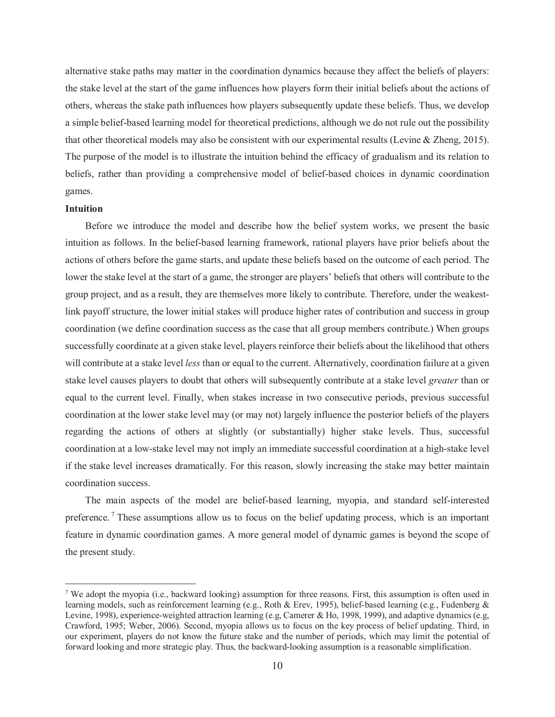alternative stake paths may matter in the coordination dynamics because they affect the beliefs of players: the stake level at the start of the game influences how players form their initial beliefs about the actions of others, whereas the stake path influences how players subsequently update these beliefs. Thus, we develop a simple belief-based learning model for theoretical predictions, although we do not rule out the possibility that other theoretical models may also be consistent with our experimental results (Levine & Zheng, 2015). The purpose of the model is to illustrate the intuition behind the efficacy of gradualism and its relation to beliefs, rather than providing a comprehensive model of belief-based choices in dynamic coordination games.

#### **Intuition**

Before we introduce the model and describe how the belief system works, we present the basic intuition as follows. In the belief-based learning framework, rational players have prior beliefs about the actions of others before the game starts, and update these beliefs based on the outcome of each period. The lower the stake level at the start of a game, the stronger are players' beliefs that others will contribute to the group project, and as a result, they are themselves more likely to contribute. Therefore, under the weakestlink payoff structure, the lower initial stakes will produce higher rates of contribution and success in group coordination (we define coordination success as the case that all group members contribute.) When groups successfully coordinate at a given stake level, players reinforce their beliefs about the likelihood that others will contribute at a stake level less than or equal to the current. Alternatively, coordination failure at a given stake level causes players to doubt that others will subsequently contribute at a stake level *greater* than or equal to the current level. Finally, when stakes increase in two consecutive periods, previous successful coordination at the lower stake level may (or may not) largely influence the posterior beliefs of the players regarding the actions of others at slightly (or substantially) higher stake levels. Thus, successful coordination at a low-stake level may not imply an immediate successful coordination at a high-stake level if the stake level increases dramatically. For this reason, slowly increasing the stake may better maintain coordination success.

The main aspects of the model are belief-based learning, myopia, and standard self-interested preference.<sup>7</sup> These assumptions allow us to focus on the belief updating process, which is an important feature in dynamic coordination games. A more general model of dynamic games is beyond the scope of the present study.

<sup>&</sup>lt;sup>7</sup> We adopt the myopia (i.e., backward looking) assumption for three reasons. First, this assumption is often used in learning models, such as reinforcement learning (e.g., Roth & Erey, 1995), belief-based learning (e.g., Fudenberg & Levine, 1998), experience-weighted attraction learning (e.g, Camerer & Ho, 1998, 1999), and adaptive dynamics (e.g, Crawford, 1995; Weber, 2006). Second, myopia allows us to focus on the key process of belief updating. Third, in our experiment, players do not know the future stake and the number of periods, which may limit the potential of forward looking and more strategic play. Thus, the backward-looking assumption is a reasonable simplification.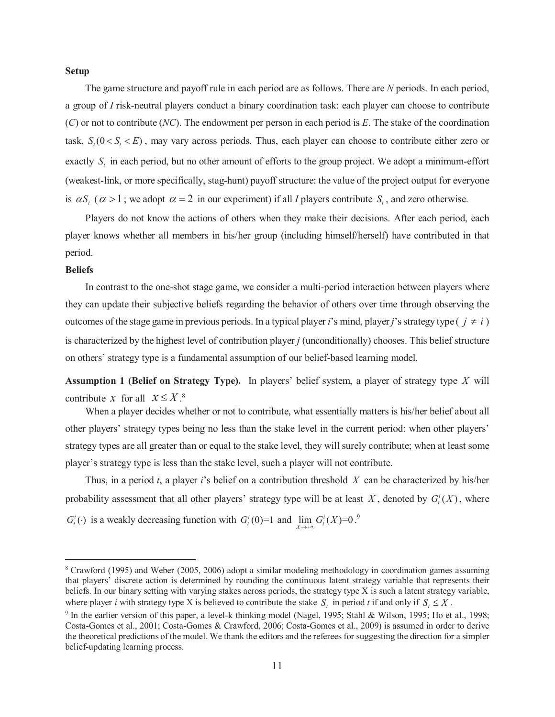#### **Setup**

The game structure and payoff rule in each period are as follows. There are N periods. In each period, a group of I risk-neutral players conduct a binary coordination task: each player can choose to contribute  $(C)$  or not to contribute (NC). The endowment per person in each period is E. The stake of the coordination task,  $S_t(0 < S_t < E)$ , may vary across periods. Thus, each player can choose to contribute either zero or exactly  $S_t$  in each period, but no other amount of efforts to the group project. We adopt a minimum-effort (weakest-link, or more specifically, stag-hunt) payoff structure: the value of the project output for everyone is  $\alpha S$ ,  $(\alpha > 1$ ; we adopt  $\alpha = 2$  in our experiment) if all *I* players contribute S, and zero otherwise.

Players do not know the actions of others when they make their decisions. After each period, each player knows whether all members in his/her group (including himself/herself) have contributed in that period.

#### **Beliefs**

In contrast to the one-shot stage game, we consider a multi-period interaction between players where they can update their subjective beliefs regarding the behavior of others over time through observing the outcomes of the stage game in previous periods. In a typical player i's mind, player j's strategy type  $(j \neq i)$ is characterized by the highest level of contribution player *i* (unconditionally) chooses. This belief structure on others' strategy type is a fundamental assumption of our belief-based learning model.

**Assumption 1 (Belief on Strategy Type).** In players' belief system, a player of strategy type X will contribute x for all  $x \leq X$ <sup>8</sup>

When a player decides whether or not to contribute, what essentially matters is his/her belief about all other players' strategy types being no less than the stake level in the current period: when other players' strategy types are all greater than or equal to the stake level, they will surely contribute; when at least some player's strategy type is less than the stake level, such a player will not contribute.

Thus, in a period t, a player i's belief on a contribution threshold X can be characterized by his/her probability assessment that all other players' strategy type will be at least X, denoted by  $G_i^i(X)$ , where  $G_t^i(\cdot)$  is a weakly decreasing function with  $G_t^i(0)=1$  and  $\lim_{Y \to \infty} G_t^i(X)=0$ .

<sup>&</sup>lt;sup>8</sup> Crawford (1995) and Weber (2005, 2006) adopt a similar modeling methodology in coordination games assuming that players' discrete action is determined by rounding the continuous latent strategy variable that represents their beliefs. In our binary setting with varying stakes across periods, the strategy type X is such a latent strategy variable, where player *i* with strategy type X is believed to contribute the stake S, in period t if and only if  $S_1 \leq X$ .

<sup>&</sup>lt;sup>9</sup> In the earlier version of this paper, a level-k thinking model (Nagel, 1995; Stahl & Wilson, 1995; Ho et al., 1998; Costa-Gomes et al., 2001; Costa-Gomes & Crawford, 2006; Costa-Gomes et al., 2009) is assumed in order to derive the theoretical predictions of the model. We thank the editors and the referees for suggesting the direction for a simpler belief-updating learning process.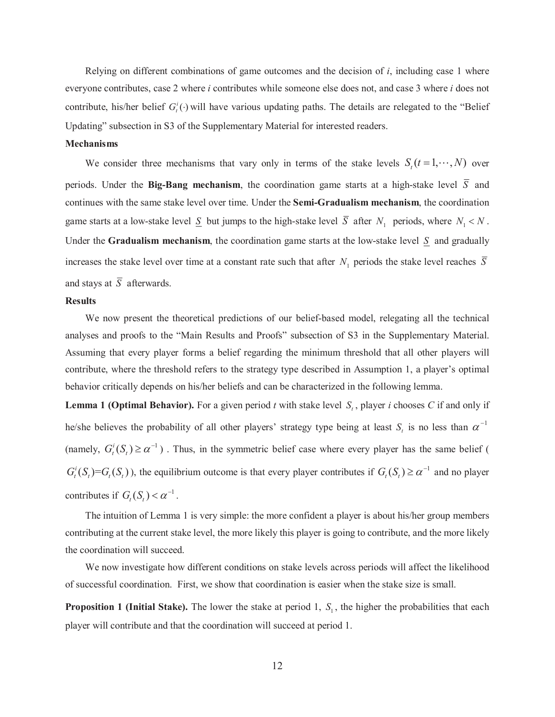Relying on different combinations of game outcomes and the decision of  $i$ , including case 1 where everyone contributes, case 2 where *i* contributes while someone else does not, and case 3 where *i* does not contribute, his/her belief  $G_i^i(.)$  will have various updating paths. The details are relegated to the "Belief" Updating" subsection in S3 of the Supplementary Material for interested readers.

#### **Mechanisms**

We consider three mechanisms that vary only in terms of the stake levels  $S_t(t=1,\dots,N)$  over periods. Under the Big-Bang mechanism, the coordination game starts at a high-stake level  $\overline{S}$  and continues with the same stake level over time. Under the **Semi-Gradualism mechanism**, the coordination game starts at a low-stake level  $\underline{S}$  but jumps to the high-stake level  $\overline{S}$  after  $N_1$  periods, where  $N_1 < N$ . Under the Gradualism mechanism, the coordination game starts at the low-stake level  $S$  and gradually increases the stake level over time at a constant rate such that after  $N_1$  periods the stake level reaches  $\overline{S}$ and stays at  $\overline{S}$  afterwards.

#### **Results**

We now present the theoretical predictions of our belief-based model, relegating all the technical analyses and proofs to the "Main Results and Proofs" subsection of S3 in the Supplementary Material. Assuming that every player forms a belief regarding the minimum threshold that all other players will contribute, where the threshold refers to the strategy type described in Assumption 1, a player's optimal behavior critically depends on his/her beliefs and can be characterized in the following lemma.

**Lemma 1 (Optimal Behavior).** For a given period t with stake level  $S_t$ , player i chooses C if and only if he/she believes the probability of all other players' strategy type being at least  $S_t$  is no less than  $\alpha^{-1}$ (namely,  $G_t^i(S_t) \ge \alpha^{-1}$ ). Thus, in the symmetric belief case where every player has the same belief (  $G_t^i(S_t) = G_t(S_t)$ , the equilibrium outcome is that every player contributes if  $G_t(S_t) \ge \alpha^{-1}$  and no player contributes if  $G_t(S_t) < \alpha^{-1}$ .

The intuition of Lemma 1 is very simple: the more confident a player is about his/her group members contributing at the current stake level, the more likely this player is going to contribute, and the more likely the coordination will succeed.

We now investigate how different conditions on stake levels across periods will affect the likelihood of successful coordination. First, we show that coordination is easier when the stake size is small.

**Proposition 1 (Initial Stake).** The lower the stake at period 1,  $S_1$ , the higher the probabilities that each player will contribute and that the coordination will succeed at period 1.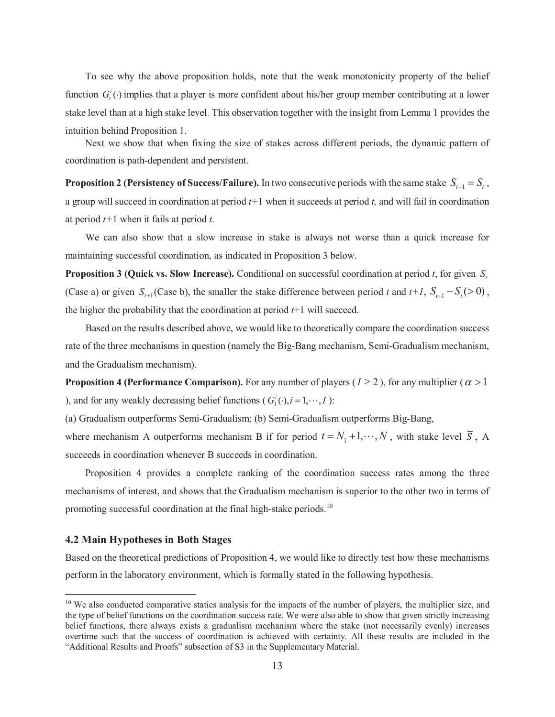To see why the above proposition holds, note that the weak monotonicity property of the belief function  $G_i^i(.)$  implies that a player is more confident about his/her group member contributing at a lower stake level than at a high stake level. This observation together with the insight from Lemma 1 provides the intuition behind Proposition 1.

Next we show that when fixing the size of stakes across different periods, the dynamic pattern of coordination is path-dependent and persistent.

**Proposition 2 (Persistency of Success/Failure).** In two consecutive periods with the same stake  $S_{t+1} = S_t$ , a group will succeed in coordination at period  $t+1$  when it succeeds at period t, and will fail in coordination at period  $t+1$  when it fails at period t.

We can also show that a slow increase in stake is always not worse than a quick increase for maintaining successful coordination, as indicated in Proposition 3 below.

**Proposition 3 (Quick vs. Slow Increase).** Conditional on successful coordination at period t, for given  $S_t$ . (Case a) or given  $S_{t+1}$  (Case b), the smaller the stake difference between period t and t+1,  $S_{t+1} - S_t$  (> 0), the higher the probability that the coordination at period  $t+1$  will succeed.

Based on the results described above, we would like to theoretically compare the coordination success rate of the three mechanisms in question (namely the Big-Bang mechanism, Semi-Gradualism mechanism, and the Gradualism mechanism).

**Proposition 4 (Performance Comparison).** For any number of players ( $I \ge 2$ ), for any multiplier ( $\alpha > 1$ ) ), and for any weakly decreasing belief functions ( $G_1^i(\cdot), i = 1, \dots, I$ ):

(a) Gradualism outperforms Semi-Gradualism; (b) Semi-Gradualism outperforms Big-Bang,

where mechanism A outperforms mechanism B if for period  $t = N_1 + 1, \dots, N$ , with stake level  $\overline{S}$ , A succeeds in coordination whenever B succeeds in coordination.

Proposition 4 provides a complete ranking of the coordination success rates among the three mechanisms of interest, and shows that the Gradualism mechanism is superior to the other two in terms of promoting successful coordination at the final high-stake periods.<sup>10</sup>

#### 4.2 Main Hypotheses in Both Stages

Based on the theoretical predictions of Proposition 4, we would like to directly test how these mechanisms perform in the laboratory environment, which is formally stated in the following hypothesis.

<sup>&</sup>lt;sup>10</sup> We also conducted comparative statics analysis for the impacts of the number of players, the multiplier size, and the type of belief functions on the coordination success rate. We were also able to show that given strictly increasing belief functions, there always exists a gradualism mechanism where the stake (not necessarily evenly) increases overtime such that the success of coordination is achieved with certainty. All these results are included in the "Additional Results and Proofs" subsection of S3 in the Supplementary Material.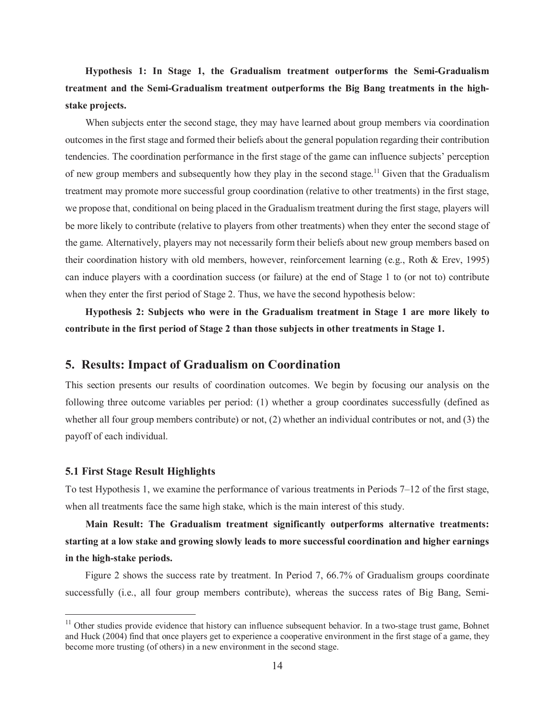## Hypothesis 1: In Stage 1, the Gradualism treatment outperforms the Semi-Gradualism treatment and the Semi-Gradualism treatment outperforms the Big Bang treatments in the highstake projects.

When subjects enter the second stage, they may have learned about group members via coordination outcomes in the first stage and formed their beliefs about the general population regarding their contribution tendencies. The coordination performance in the first stage of the game can influence subjects' perception of new group members and subsequently how they play in the second stage.<sup>11</sup> Given that the Gradualism treatment may promote more successful group coordination (relative to other treatments) in the first stage, we propose that, conditional on being placed in the Gradualism treatment during the first stage, players will be more likely to contribute (relative to players from other treatments) when they enter the second stage of the game. Alternatively, players may not necessarily form their beliefs about new group members based on their coordination history with old members, however, reinforcement learning (e.g., Roth & Erev, 1995) can induce players with a coordination success (or failure) at the end of Stage 1 to (or not to) contribute when they enter the first period of Stage 2. Thus, we have the second hypothesis below:

Hypothesis 2: Subjects who were in the Gradualism treatment in Stage 1 are more likely to contribute in the first period of Stage 2 than those subjects in other treatments in Stage 1.

### 5. Results: Impact of Gradualism on Coordination

This section presents our results of coordination outcomes. We begin by focusing our analysis on the following three outcome variables per period: (1) whether a group coordinates successfully (defined as whether all four group members contribute) or not,  $(2)$  whether an individual contributes or not, and  $(3)$  the payoff of each individual.

#### **5.1 First Stage Result Highlights**

To test Hypothesis 1, we examine the performance of various treatments in Periods  $7-12$  of the first stage, when all treatments face the same high stake, which is the main interest of this study.

Main Result: The Gradualism treatment significantly outperforms alternative treatments: starting at a low stake and growing slowly leads to more successful coordination and higher earnings in the high-stake periods.

Figure 2 shows the success rate by treatment. In Period 7, 66.7% of Gradualism groups coordinate successfully (i.e., all four group members contribute), whereas the success rates of Big Bang, Semi-

 $11$  Other studies provide evidence that history can influence subsequent behavior. In a two-stage trust game, Bohnet and Huck (2004) find that once players get to experience a cooperative environment in the first stage of a game, they become more trusting (of others) in a new environment in the second stage.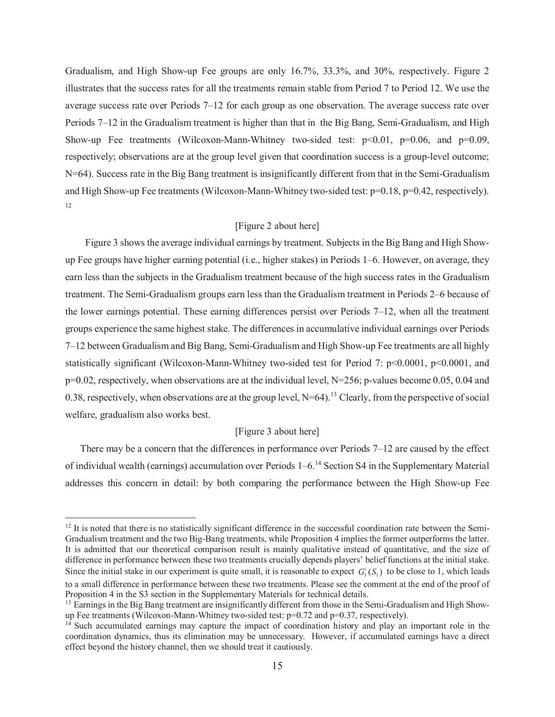Gradualism, and High Show-up Fee groups are only 16.7%, 33.3%, and 30%, respectively. Figure 2 illustrates that the success rates for all the treatments remain stable from Period 7 to Period 12. We use the average success rate over Periods 7–12 for each group as one observation. The average success rate over Periods  $7-12$  in the Gradualism treatment is higher than that in the Big Bang, Semi-Gradualism, and High Show-up Fee treatments (Wilcoxon-Mann-Whitney two-sided test:  $p<0.01$ ,  $p=0.06$ , and  $p=0.09$ , respectively; observations are at the group level given that coordination success is a group-level outcome; N=64). Success rate in the Big Bang treatment is insignificantly different from that in the Semi-Gradualism and High Show-up Fee treatments (Wilcoxon-Mann-Whitney two-sided test:  $p=0.18$ ,  $p=0.42$ , respectively). 12

### [Figure 2 about here]

Figure 3 shows the average individual earnings by treatment. Subjects in the Big Bang and High Showup Fee groups have higher earning potential (i.e., higher stakes) in Periods 1–6. However, on average, they earn less than the subjects in the Gradualism treatment because of the high success rates in the Gradualism treatment. The Semi-Gradualism groups earn less than the Gradualism treatment in Periods 2–6 because of the lower earnings potential. These earning differences persist over Periods  $7-12$ , when all the treatment groups experience the same highest stake. The differences in accumulative individual earnings over Periods 7-12 between Gradualism and Big Bang, Semi-Gradualism and High Show-up Fee treatments are all highly statistically significant (Wilcoxon-Mann-Whitney two-sided test for Period 7:  $p<0.0001$ ,  $p<0.0001$ , and  $p=0.02$ , respectively, when observations are at the individual level, N=256; p-values become 0.05, 0.04 and 0.38, respectively, when observations are at the group level,  $N=64$ ).<sup>13</sup> Clearly, from the perspective of social welfare, gradualism also works best.

#### [Figure 3 about here]

There may be a concern that the differences in performance over Periods  $7-12$  are caused by the effect of individual wealth (earnings) accumulation over Periods  $1-6$ .<sup>14</sup> Section S4 in the Supplementary Material addresses this concern in detail: by both comparing the performance between the High Show-up Fee

<sup>&</sup>lt;sup>12</sup> It is noted that there is no statistically significant difference in the successful coordination rate between the Semi-Gradualism treatment and the two Big-Bang treatments, while Proposition 4 implies the former outperforms the latter. It is admitted that our theoretical comparison result is mainly qualitative instead of quantitative, and the size of difference in performance between these two treatments crucially depends players' belief functions at the initial stake. Since the initial stake in our experiment is quite small, it is reasonable to expect  $G_i^i(S_i)$  to be close to 1, which leads to a small difference in performance between these two treatments. Please see the comment at the end of the proof of Proposition 4 in the S3 section in the Supplementary Materials for technical details.

<sup>&</sup>lt;sup>13</sup> Earnings in the Big Bang treatment are insignificantly different from those in the Semi-Gradualism and High Showup Fee treatments (Wilcoxon-Mann-Whitney two-sided test:  $p=0.72$  and  $p=0.37$ , respectively).

<sup>&</sup>lt;sup>14</sup> Such accumulated earnings may capture the impact of coordination history and play an important role in the coordination dynamics, thus its elimination may be unnecessary. However, if accumulated earnings have a direct effect beyond the history channel, then we should treat it cautiously.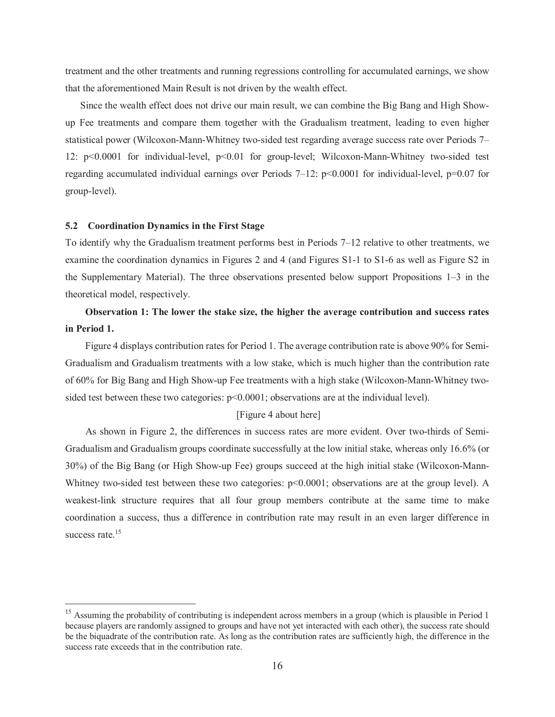treatment and the other treatments and running regressions controlling for accumulated earnings, we show that the aforementioned Main Result is not driven by the wealth effect.

Since the wealth effect does not drive our main result, we can combine the Big Bang and High Showup Fee treatments and compare them together with the Gradualism treatment, leading to even higher statistical power (Wilcoxon-Mann-Whitney two-sided test regarding average success rate over Periods 7– 12: p<0.0001 for individual-level, p<0.01 for group-level; Wilcoxon-Mann-Whitney two-sided test regarding accumulated individual earnings over Periods 7-12:  $p<0.0001$  for individual-level,  $p=0.07$  for group-level).

#### 5.2 Coordination Dynamics in the First Stage

To identify why the Gradualism treatment performs best in Periods 7-12 relative to other treatments, we examine the coordination dynamics in Figures 2 and 4 (and Figures S1-1 to S1-6 as well as Figure S2 in the Supplementary Material). The three observations presented below support Propositions  $1-3$  in the theoretical model, respectively.

## Observation 1: The lower the stake size, the higher the average contribution and success rates in Period 1.

Figure 4 displays contribution rates for Period 1. The average contribution rate is above 90% for Semi-Gradualism and Gradualism treatments with a low stake, which is much higher than the contribution rate of 60% for Big Bang and High Show-up Fee treatments with a high stake (Wilcoxon-Mann-Whitney twosided test between these two categories:  $p<0.0001$ ; observations are at the individual level).

#### [Figure 4 about here]

As shown in Figure 2, the differences in success rates are more evident. Over two-thirds of Semi-Gradualism and Gradualism groups coordinate successfully at the low initial stake, whereas only 16.6% (or 30%) of the Big Bang (or High Show-up Fee) groups succeed at the high initial stake (Wilcoxon-Mann-Whitney two-sided test between these two categories: p<0.0001; observations are at the group level). A weakest-link structure requires that all four group members contribute at the same time to make coordination a success, thus a difference in contribution rate may result in an even larger difference in success rate.<sup>15</sup>

<sup>&</sup>lt;sup>15</sup> Assuming the probability of contributing is independent across members in a group (which is plausible in Period 1 because players are randomly assigned to groups and have not yet interacted with each other), the success rate should be the biquadrate of the contribution rate. As long as the contribution rates are sufficiently high, the difference in the success rate exceeds that in the contribution rate.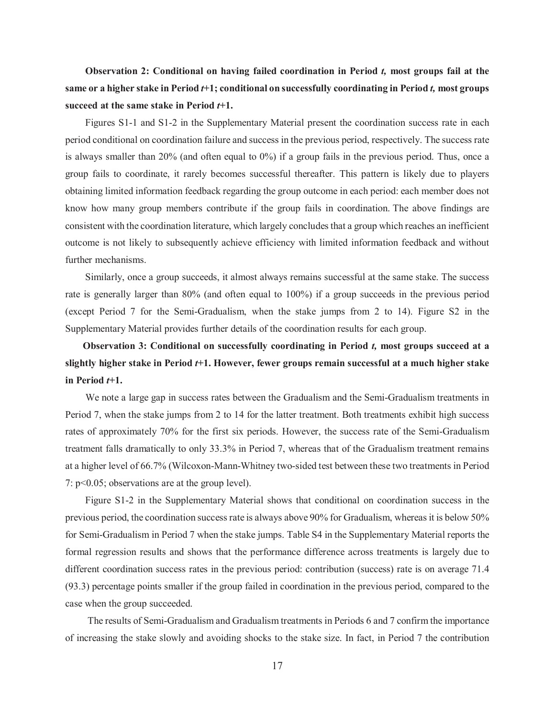Observation 2: Conditional on having failed coordination in Period t, most groups fail at the same or a higher stake in Period t+1; conditional on successfully coordinating in Period t, most groups succeed at the same stake in Period  $t+1$ .

Figures S1-1 and S1-2 in the Supplementary Material present the coordination success rate in each period conditional on coordination failure and success in the previous period, respectively. The success rate is always smaller than  $20\%$  (and often equal to  $0\%$ ) if a group fails in the previous period. Thus, once a group fails to coordinate, it rarely becomes successful thereafter. This pattern is likely due to players obtaining limited information feedback regarding the group outcome in each period: each member does not know how many group members contribute if the group fails in coordination. The above findings are consistent with the coordination literature, which largely concludes that a group which reaches an inefficient outcome is not likely to subsequently achieve efficiency with limited information feedback and without further mechanisms.

Similarly, once a group succeeds, it almost always remains successful at the same stake. The success rate is generally larger than 80% (and often equal to 100%) if a group succeeds in the previous period (except Period 7 for the Semi-Gradualism, when the stake jumps from 2 to 14). Figure S2 in the Supplementary Material provides further details of the coordination results for each group.

## Observation 3: Conditional on successfully coordinating in Period t, most groups succeed at a slightly higher stake in Period *t*+1. However, fewer groups remain successful at a much higher stake in Period  $t+1$ .

We note a large gap in success rates between the Gradualism and the Semi-Gradualism treatments in Period 7, when the stake jumps from 2 to 14 for the latter treatment. Both treatments exhibit high success rates of approximately 70% for the first six periods. However, the success rate of the Semi-Gradualism treatment falls dramatically to only 33.3% in Period 7, whereas that of the Gradualism treatment remains at a higher level of 66.7% (Wilcoxon-Mann-Whitney two-sided test between these two treatments in Period 7:  $p<0.05$ ; observations are at the group level).

Figure S1-2 in the Supplementary Material shows that conditional on coordination success in the previous period, the coordination success rate is always above 90% for Gradualism, whereas it is below 50% for Semi-Gradualism in Period 7 when the stake jumps. Table S4 in the Supplementary Material reports the formal regression results and shows that the performance difference across treatments is largely due to different coordination success rates in the previous period: contribution (success) rate is on average 71.4 (93.3) percentage points smaller if the group failed in coordination in the previous period, compared to the case when the group succeeded.

The results of Semi-Gradualism and Gradualism treatments in Periods 6 and 7 confirm the importance of increasing the stake slowly and avoiding shocks to the stake size. In fact, in Period 7 the contribution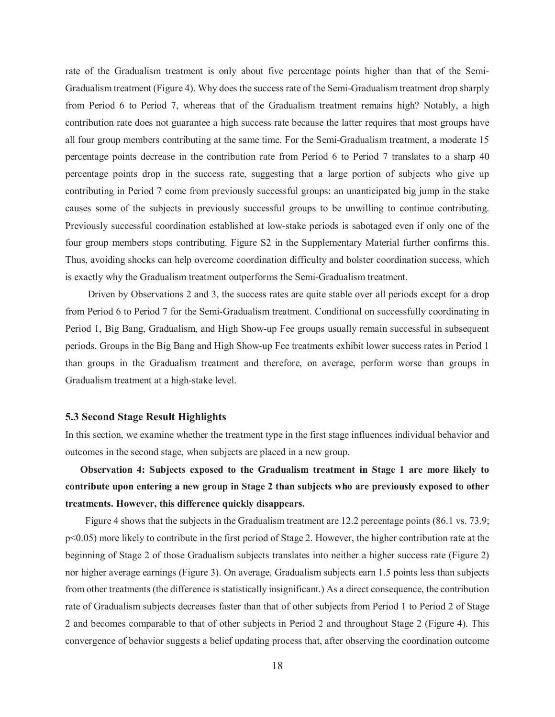rate of the Gradualism treatment is only about five percentage points higher than that of the Semi-Gradualism treatment (Figure 4). Why does the success rate of the Semi-Gradualism treatment drop sharply from Period 6 to Period 7, whereas that of the Gradualism treatment remains high? Notably, a high contribution rate does not guarantee a high success rate because the latter requires that most groups have all four group members contributing at the same time. For the Semi-Gradualism treatment, a moderate 15 percentage points decrease in the contribution rate from Period 6 to Period 7 translates to a sharp 40 percentage points drop in the success rate, suggesting that a large portion of subjects who give up contributing in Period 7 come from previously successful groups: an unanticipated big jump in the stake causes some of the subjects in previously successful groups to be unwilling to continue contributing. Previously successful coordination established at low-stake periods is sabotaged even if only one of the four group members stops contributing. Figure S2 in the Supplementary Material further confirms this. Thus, avoiding shocks can help overcome coordination difficulty and bolster coordination success, which is exactly why the Gradualism treatment outperforms the Semi-Gradualism treatment.

Driven by Observations 2 and 3, the success rates are quite stable over all periods except for a drop from Period 6 to Period 7 for the Semi-Gradualism treatment. Conditional on successfully coordinating in Period 1, Big Bang, Gradualism, and High Show-up Fee groups usually remain successful in subsequent periods. Groups in the Big Bang and High Show-up Fee treatments exhibit lower success rates in Period 1 than groups in the Gradualism treatment and therefore, on average, perform worse than groups in Gradualism treatment at a high-stake level.

#### **5.3 Second Stage Result Highlights**

In this section, we examine whether the treatment type in the first stage influences individual behavior and outcomes in the second stage, when subjects are placed in a new group.

Observation 4: Subjects exposed to the Gradualism treatment in Stage 1 are more likely to contribute upon entering a new group in Stage 2 than subjects who are previously exposed to other treatments. However, this difference quickly disappears.

Figure 4 shows that the subjects in the Gradualism treatment are 12.2 percentage points (86.1 vs. 73.9;  $p<0.05$ ) more likely to contribute in the first period of Stage 2. However, the higher contribution rate at the beginning of Stage 2 of those Gradualism subjects translates into neither a higher success rate (Figure 2) nor higher average earnings (Figure 3). On average, Gradualism subjects earn 1.5 points less than subjects from other treatments (the difference is statistically insignificant.) As a direct consequence, the contribution rate of Gradualism subjects decreases faster than that of other subjects from Period 1 to Period 2 of Stage 2 and becomes comparable to that of other subjects in Period 2 and throughout Stage 2 (Figure 4). This convergence of behavior suggests a belief updating process that, after observing the coordination outcome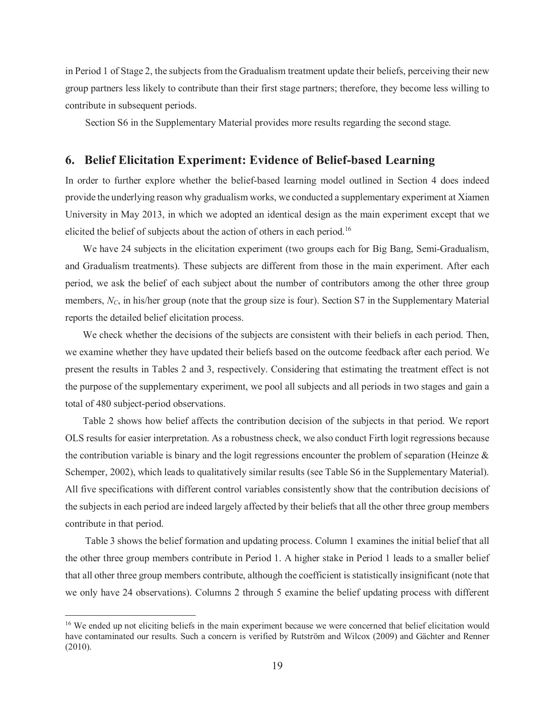in Period 1 of Stage 2, the subjects from the Gradualism treatment update their beliefs, perceiving their new group partners less likely to contribute than their first stage partners; therefore, they become less willing to contribute in subsequent periods.

Section S6 in the Supplementary Material provides more results regarding the second stage.

### 6. Belief Elicitation Experiment: Evidence of Belief-based Learning

In order to further explore whether the belief-based learning model outlined in Section 4 does indeed provide the underlying reason why gradualism works, we conducted a supplementary experiment at Xiamen University in May 2013, in which we adopted an identical design as the main experiment except that we elicited the belief of subjects about the action of others in each period.<sup>16</sup>

We have 24 subjects in the elicitation experiment (two groups each for Big Bang, Semi-Gradualism, and Gradualism treatments). These subjects are different from those in the main experiment. After each period, we ask the belief of each subject about the number of contributors among the other three group members,  $N_c$ , in his/her group (note that the group size is four). Section S7 in the Supplementary Material reports the detailed belief elicitation process.

We check whether the decisions of the subjects are consistent with their beliefs in each period. Then, we examine whether they have updated their beliefs based on the outcome feedback after each period. We present the results in Tables 2 and 3, respectively. Considering that estimating the treatment effect is not the purpose of the supplementary experiment, we pool all subjects and all periods in two stages and gain a total of 480 subject-period observations.

Table 2 shows how belief affects the contribution decision of the subjects in that period. We report OLS results for easier interpretation. As a robustness check, we also conduct Firth logit regressions because the contribution variable is binary and the logit regressions encounter the problem of separation (Heinze  $\&$ Schemper, 2002), which leads to qualitatively similar results (see Table S6 in the Supplementary Material). All five specifications with different control variables consistently show that the contribution decisions of the subjects in each period are indeed largely affected by their beliefs that all the other three group members contribute in that period.

Table 3 shows the belief formation and updating process. Column 1 examines the initial belief that all the other three group members contribute in Period 1. A higher stake in Period 1 leads to a smaller belief that all other three group members contribute, although the coefficient is statistically insignificant (note that we only have 24 observations). Columns 2 through 5 examine the belief updating process with different

<sup>&</sup>lt;sup>16</sup> We ended up not eliciting beliefs in the main experiment because we were concerned that belief elicitation would have contaminated our results. Such a concern is verified by Rutström and Wilcox (2009) and Gächter and Renner  $(2010).$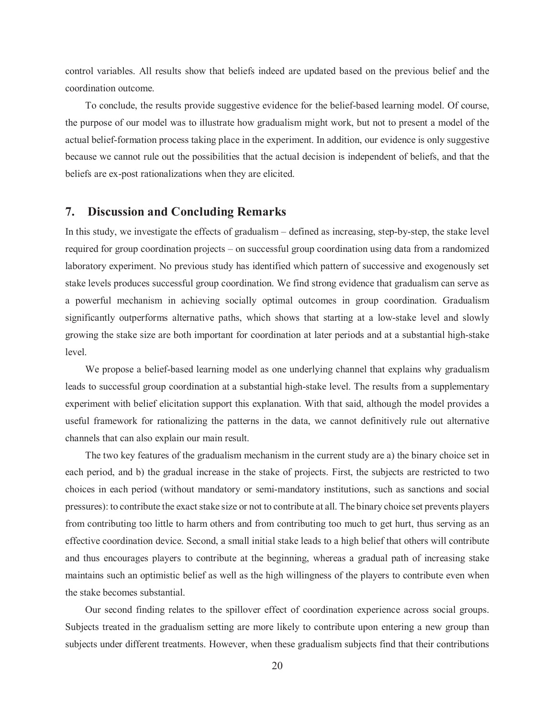control variables. All results show that beliefs indeed are updated based on the previous belief and the coordination outcome.

To conclude, the results provide suggestive evidence for the belief-based learning model. Of course, the purpose of our model was to illustrate how gradualism might work, but not to present a model of the actual belief-formation process taking place in the experiment. In addition, our evidence is only suggestive because we cannot rule out the possibilities that the actual decision is independent of beliefs, and that the beliefs are ex-post rationalizations when they are elicited.

#### **Discussion and Concluding Remarks** 7.

In this study, we investigate the effects of gradualism – defined as increasing, step-by-step, the stake level required for group coordination projects - on successful group coordination using data from a randomized laboratory experiment. No previous study has identified which pattern of successive and exogenously set stake levels produces successful group coordination. We find strong evidence that gradualism can serve as a powerful mechanism in achieving socially optimal outcomes in group coordination. Gradualism significantly outperforms alternative paths, which shows that starting at a low-stake level and slowly growing the stake size are both important for coordination at later periods and at a substantial high-stake level.

We propose a belief-based learning model as one underlying channel that explains why gradualism leads to successful group coordination at a substantial high-stake level. The results from a supplementary experiment with belief elicitation support this explanation. With that said, although the model provides a useful framework for rationalizing the patterns in the data, we cannot definitively rule out alternative channels that can also explain our main result.

The two key features of the gradualism mechanism in the current study are a) the binary choice set in each period, and b) the gradual increase in the stake of projects. First, the subjects are restricted to two choices in each period (without mandatory or semi-mandatory institutions, such as sanctions and social pressures): to contribute the exact stake size or not to contribute at all. The binary choice set prevents players from contributing too little to harm others and from contributing too much to get hurt, thus serving as an effective coordination device. Second, a small initial stake leads to a high belief that others will contribute and thus encourages players to contribute at the beginning, whereas a gradual path of increasing stake maintains such an optimistic belief as well as the high willingness of the players to contribute even when the stake becomes substantial.

Our second finding relates to the spillover effect of coordination experience across social groups. Subjects treated in the gradualism setting are more likely to contribute upon entering a new group than subjects under different treatments. However, when these gradualism subjects find that their contributions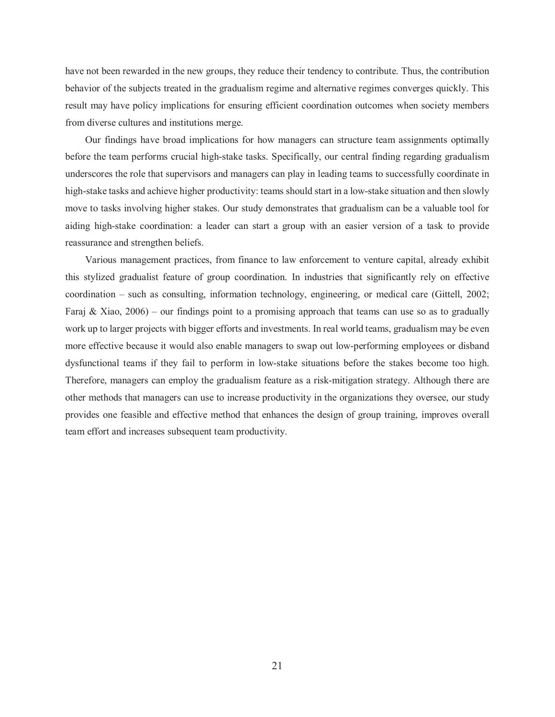have not been rewarded in the new groups, they reduce their tendency to contribute. Thus, the contribution behavior of the subjects treated in the gradualism regime and alternative regimes converges quickly. This result may have policy implications for ensuring efficient coordination outcomes when society members from diverse cultures and institutions merge.

Our findings have broad implications for how managers can structure team assignments optimally before the team performs crucial high-stake tasks. Specifically, our central finding regarding gradualism underscores the role that supervisors and managers can play in leading teams to successfully coordinate in high-stake tasks and achieve higher productivity: teams should start in a low-stake situation and then slowly move to tasks involving higher stakes. Our study demonstrates that gradualism can be a valuable tool for aiding high-stake coordination: a leader can start a group with an easier version of a task to provide reassurance and strengthen beliefs.

Various management practices, from finance to law enforcement to venture capital, already exhibit this stylized gradualist feature of group coordination. In industries that significantly rely on effective coordination – such as consulting, information technology, engineering, or medical care (Gittell, 2002; Faraj & Xiao,  $2006$  – our findings point to a promising approach that teams can use so as to gradually work up to larger projects with bigger efforts and investments. In real world teams, gradualism may be even more effective because it would also enable managers to swap out low-performing employees or disband dysfunctional teams if they fail to perform in low-stake situations before the stakes become too high. Therefore, managers can employ the gradualism feature as a risk-mitigation strategy. Although there are other methods that managers can use to increase productivity in the organizations they oversee, our study provides one feasible and effective method that enhances the design of group training, improves overall team effort and increases subsequent team productivity.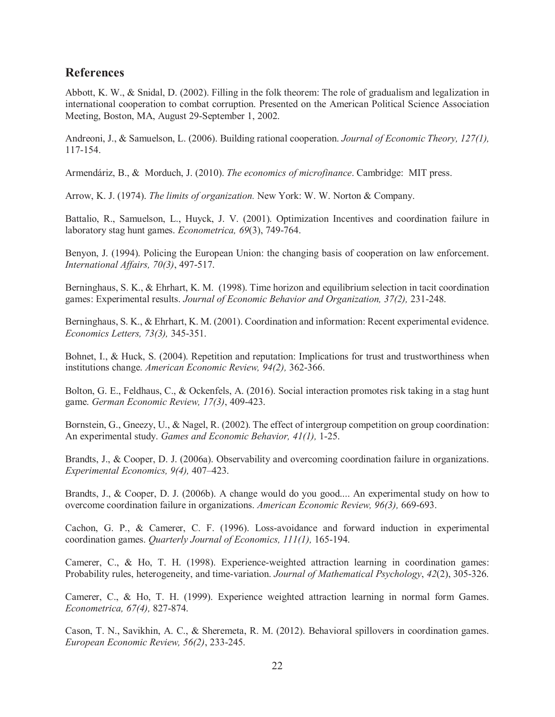## **References**

Abbott, K. W., & Snidal, D. (2002). Filling in the folk theorem: The role of gradualism and legalization in international cooperation to combat corruption. Presented on the American Political Science Association Meeting, Boston, MA, August 29-September 1, 2002.

Andreoni, J., & Samuelson, L. (2006). Building rational cooperation. Journal of Economic Theory, 127(1), 117-154.

Armendáriz, B., & Morduch, J. (2010). The economics of microfinance. Cambridge: MIT press.

Arrow, K. J. (1974). The limits of organization. New York: W. W. Norton & Company.

Battalio, R., Samuelson, L., Huyck, J. V. (2001). Optimization Incentives and coordination failure in laboratory stag hunt games. *Econometrica*, 69(3), 749-764.

Benyon, J. (1994). Policing the European Union: the changing basis of cooperation on law enforcement. International Affairs, 70(3), 497-517.

Berninghaus, S. K., & Ehrhart, K. M. (1998). Time horizon and equilibrium selection in tacit coordination games: Experimental results. Journal of Economic Behavior and Organization, 37(2), 231-248.

Berninghaus, S. K., & Ehrhart, K. M. (2001). Coordination and information: Recent experimental evidence. Economics Letters, 73(3), 345-351.

Bohnet, I., & Huck, S. (2004). Repetition and reputation: Implications for trust and trustworthiness when institutions change. American Economic Review, 94(2), 362-366.

Bolton, G. E., Feldhaus, C., & Ockenfels, A. (2016). Social interaction promotes risk taking in a stag hunt game. German Economic Review, 17(3), 409-423.

Bornstein, G., Gneezy, U., & Nagel, R. (2002). The effect of intergroup competition on group coordination: An experimental study. Games and Economic Behavior, 41(1), 1-25.

Brandts, J., & Cooper, D. J. (2006a). Observability and overcoming coordination failure in organizations. Experimental Economics, 9(4), 407-423.

Brandts, J., & Cooper, D. J. (2006b). A change would do you good.... An experimental study on how to overcome coordination failure in organizations. American Economic Review, 96(3), 669-693.

Cachon, G. P., & Camerer, C. F. (1996). Loss-avoidance and forward induction in experimental coordination games. *Ouarterly Journal of Economics*, 111(1), 165-194.

Camerer, C., & Ho, T. H. (1998). Experience-weighted attraction learning in coordination games: Probability rules, heterogeneity, and time-variation. Journal of Mathematical Psychology, 42(2), 305-326.

Camerer, C., & Ho, T. H. (1999). Experience weighted attraction learning in normal form Games. Econometrica, 67(4), 827-874.

Cason, T. N., Savikhin, A. C., & Sheremeta, R. M. (2012). Behavioral spillovers in coordination games. European Economic Review, 56(2), 233-245.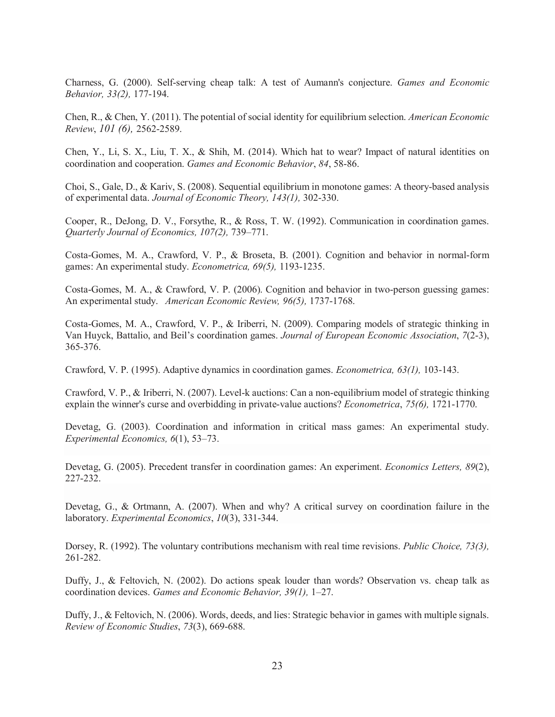Charness, G. (2000). Self-serving cheap talk: A test of Aumann's conjecture. Games and Economic Behavior, 33(2), 177-194.

Chen, R., & Chen, Y. (2011). The potential of social identity for equilibrium selection. American Economic Review, 101 (6), 2562-2589.

Chen, Y., Li, S. X., Liu, T. X., & Shih, M. (2014). Which hat to wear? Impact of natural identities on coordination and cooperation. Games and Economic Behavior, 84, 58-86.

Choi, S., Gale, D., & Kariv, S. (2008). Sequential equilibrium in monotone games: A theory-based analysis of experimental data. Journal of Economic Theory, 143(1), 302-330.

Cooper, R., DeJong, D. V., Forsythe, R., & Ross, T. W. (1992). Communication in coordination games. Ouarterly Journal of Economics, 107(2), 739–771.

Costa-Gomes, M. A., Crawford, V. P., & Broseta, B. (2001). Cognition and behavior in normal-form games: An experimental study. Econometrica, 69(5), 1193-1235.

Costa-Gomes, M. A., & Crawford, V. P. (2006). Cognition and behavior in two-person guessing games: An experimental study. American Economic Review, 96(5), 1737-1768.

Costa-Gomes, M. A., Crawford, V. P., & Iriberri, N. (2009). Comparing models of strategic thinking in Van Huyck, Battalio, and Beil's coordination games. Journal of European Economic Association, 7(2-3), 365-376.

Crawford, V. P. (1995). Adaptive dynamics in coordination games. *Econometrica*, 63(1), 103-143.

Crawford, V. P., & Iriberri, N. (2007). Level-k auctions: Can a non-equilibrium model of strategic thinking explain the winner's curse and overbidding in private-value auctions? *Econometrica*, 75(6), 1721-1770.

Devetag, G. (2003). Coordination and information in critical mass games: An experimental study. Experimental Economics, 6(1), 53-73.

Devetag, G. (2005). Precedent transfer in coordination games: An experiment. Economics Letters, 89(2), 227-232.

Devetag, G., & Ortmann, A. (2007). When and why? A critical survey on coordination failure in the laboratory. Experimental Economics, 10(3), 331-344.

Dorsey, R. (1992). The voluntary contributions mechanism with real time revisions. *Public Choice*, 73(3), 261-282.

Duffy, J., & Feltovich, N. (2002). Do actions speak louder than words? Observation vs. cheap talk as coordination devices. Games and Economic Behavior, 39(1), 1-27.

Duffy, J., & Feltovich, N. (2006). Words, deeds, and lies: Strategic behavior in games with multiple signals. Review of Economic Studies, 73(3), 669-688.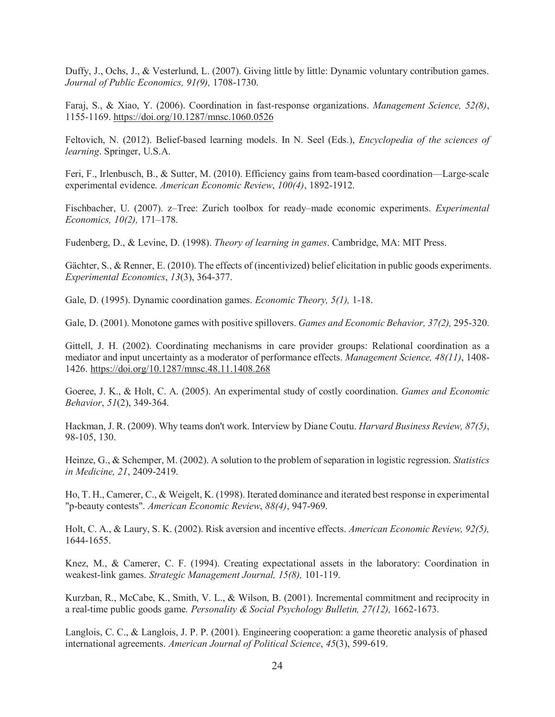Duffy, J., Ochs, J., & Vesterlund, L. (2007). Giving little by little: Dynamic voluntary contribution games. Journal of Public Economics, 91(9), 1708-1730.

Faraj, S., & Xiao, Y. (2006). Coordination in fast-response organizations. Management Science, 52(8), 1155-1169. https://doi.org/10.1287/mnsc.1060.0526

Feltovich, N. (2012). Belief-based learning models. In N. Seel (Eds.), *Encyclopedia of the sciences of* learning. Springer, U.S.A.

Feri, F., Irlenbusch, B., & Sutter, M. (2010). Efficiency gains from team-based coordination—Large-scale experimental evidence. American Economic Review, 100(4), 1892-1912.

Fischbacher, U. (2007). z-Tree: Zurich toolbox for ready-made economic experiments. Experimental Economics, 10(2), 171-178.

Fudenberg, D., & Levine, D. (1998). Theory of learning in games. Cambridge, MA: MIT Press.

Gächter, S., & Renner, E. (2010). The effects of (incentivized) belief elicitation in public goods experiments. Experimental Economics, 13(3), 364-377.

Gale, D. (1995). Dynamic coordination games. *Economic Theory*, 5(1), 1-18.

Gale, D. (2001). Monotone games with positive spillovers. Games and Economic Behavior, 37(2), 295-320.

Gittell, J. H. (2002). Coordinating mechanisms in care provider groups: Relational coordination as a mediator and input uncertainty as a moderator of performance effects. Management Science, 48(11), 1408-1426. https://doi.org/10.1287/mnsc.48.11.1408.268

Goeree, J. K., & Holt, C. A. (2005). An experimental study of costly coordination. Games and Economic Behavior, 51(2), 349-364.

Hackman, J. R. (2009). Why teams don't work. Interview by Diane Coutu. *Harvard Business Review*, 87(5), 98-105, 130.

Heinze, G., & Schemper, M. (2002). A solution to the problem of separation in logistic regression. Statistics in Medicine, 21, 2409-2419.

Ho, T. H., Camerer, C., & Weigelt, K. (1998). Iterated dominance and iterated best response in experimental "p-beauty contests". American Economic Review, 88(4), 947-969.

Holt, C. A., & Laury, S. K. (2002). Risk aversion and incentive effects. American Economic Review, 92(5), 1644-1655.

Knez, M., & Camerer, C. F. (1994). Creating expectational assets in the laboratory: Coordination in weakest-link games. Strategic Management Journal, 15(8), 101-119.

Kurzban, R., McCabe, K., Smith, V. L., & Wilson, B. (2001). Incremental commitment and reciprocity in a real-time public goods game. Personality & Social Psychology Bulletin,  $27(12)$ , 1662-1673.

Langlois, C. C., & Langlois, J. P. P. (2001). Engineering cooperation: a game theoretic analysis of phased international agreements. American Journal of Political Science, 45(3), 599-619.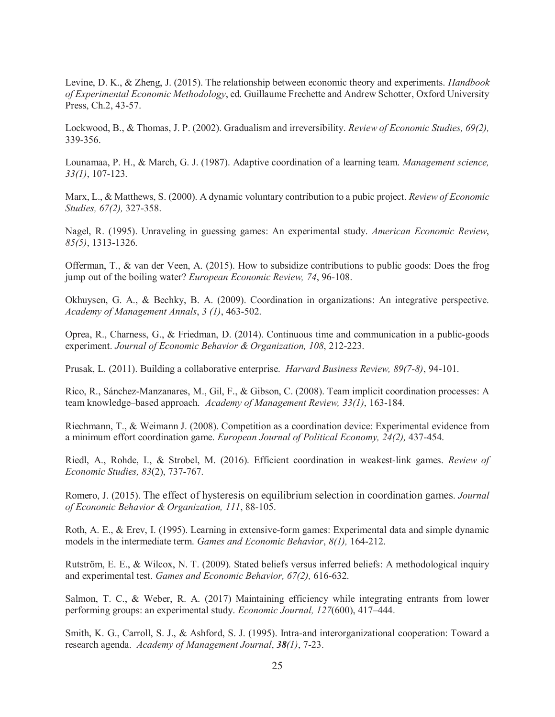Levine, D. K., & Zheng, J. (2015). The relationship between economic theory and experiments. *Handbook* of Experimental Economic Methodology, ed. Guillaume Frechette and Andrew Schotter, Oxford University Press, Ch.2, 43-57.

Lockwood, B., & Thomas, J. P. (2002). Gradualism and irreversibility. Review of Economic Studies, 69(2), 339-356.

Lounamaa, P. H., & March, G. J. (1987). Adaptive coordination of a learning team. Management science,  $33(1), 107-123.$ 

Marx, L., & Matthews, S. (2000). A dynamic voluntary contribution to a pubic project. Review of Economic Studies, 67(2), 327-358.

Nagel, R. (1995). Unraveling in guessing games: An experimental study. American Economic Review,  $85(5)$ , 1313-1326.

Offerman, T., & van der Veen, A.  $(2015)$ . How to subsidize contributions to public goods: Does the frog jump out of the boiling water? *European Economic Review*, 74, 96-108.

Okhuysen, G. A., & Bechky, B. A. (2009). Coordination in organizations: An integrative perspective. Academy of Management Annals, 3 (1), 463-502.

Oprea, R., Charness, G., & Friedman, D. (2014). Continuous time and communication in a public-goods experiment. Journal of Economic Behavior & Organization, 108, 212-223.

Prusak, L. (2011). Building a collaborative enterprise. Harvard Business Review, 89(7-8), 94-101.

Rico, R., Sánchez-Manzanares, M., Gil, F., & Gibson, C. (2008). Team implicit coordination processes: A team knowledge-based approach. Academy of Management Review, 33(1), 163-184.

Riechmann, T., & Weimann J. (2008). Competition as a coordination device: Experimental evidence from a minimum effort coordination game. European Journal of Political Economy, 24(2), 437-454.

Riedl, A., Rohde, I., & Strobel, M. (2016). Efficient coordination in weakest-link games. Review of *Economic Studies, 83(2), 737-767.* 

Romero, J. (2015). The effect of hysteresis on equilibrium selection in coordination games. Journal of Economic Behavior & Organization, 111, 88-105.

Roth, A. E., & Erev, I. (1995). Learning in extensive-form games: Experimental data and simple dynamic models in the intermediate term. Games and Economic Behavior, 8(1), 164-212.

Rutström, E. E., & Wilcox, N. T. (2009). Stated beliefs versus inferred beliefs: A methodological inquiry and experimental test. Games and Economic Behavior, 67(2), 616-632.

Salmon, T. C., & Weber, R. A. (2017) Maintaining efficiency while integrating entrants from lower performing groups: an experimental study. Economic Journal, 127(600), 417-444.

Smith, K. G., Carroll, S. J., & Ashford, S. J. (1995). Intra-and interorganizational cooperation: Toward a research agenda. Academy of Management Journal, 38(1), 7-23.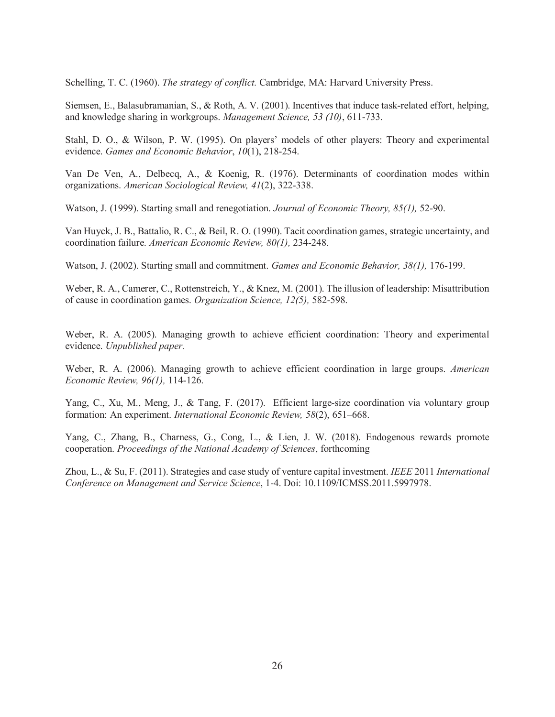Schelling, T. C. (1960). The strategy of conflict. Cambridge, MA: Harvard University Press.

Siemsen, E., Balasubramanian, S., & Roth, A. V. (2001). Incentives that induce task-related effort, helping, and knowledge sharing in workgroups. Management Science, 53 (10), 611-733.

Stahl, D. O., & Wilson, P. W. (1995). On players' models of other players: Theory and experimental evidence. Games and Economic Behavior, 10(1), 218-254.

Van De Ven, A., Delbecq, A., & Koenig, R. (1976). Determinants of coordination modes within organizations. American Sociological Review, 41(2), 322-338.

Watson, J. (1999). Starting small and renegotiation. Journal of Economic Theory, 85(1), 52-90.

Van Huyck, J. B., Battalio, R. C., & Beil, R. O. (1990). Tacit coordination games, strategic uncertainty, and coordination failure. American Economic Review, 80(1), 234-248.

Watson, J. (2002). Starting small and commitment. Games and Economic Behavior, 38(1), 176-199.

Weber, R. A., Camerer, C., Rottenstreich, Y., & Knez, M. (2001). The illusion of leadership: Misattribution of cause in coordination games. Organization Science, 12(5), 582-598.

Weber, R. A. (2005). Managing growth to achieve efficient coordination: Theory and experimental evidence. Unpublished paper.

Weber, R. A. (2006). Managing growth to achieve efficient coordination in large groups. American Economic Review, 96(1), 114-126.

Yang, C., Xu, M., Meng, J., & Tang, F. (2017). Efficient large-size coordination via voluntary group formation: An experiment. International Economic Review, 58(2), 651–668.

Yang, C., Zhang, B., Charness, G., Cong, L., & Lien, J. W. (2018). Endogenous rewards promote cooperation. Proceedings of the National Academy of Sciences, forthcoming

Zhou, L., & Su, F. (2011). Strategies and case study of venture capital investment. IEEE 2011 International Conference on Management and Service Science, 1-4. Doi: 10.1109/ICMSS.2011.5997978.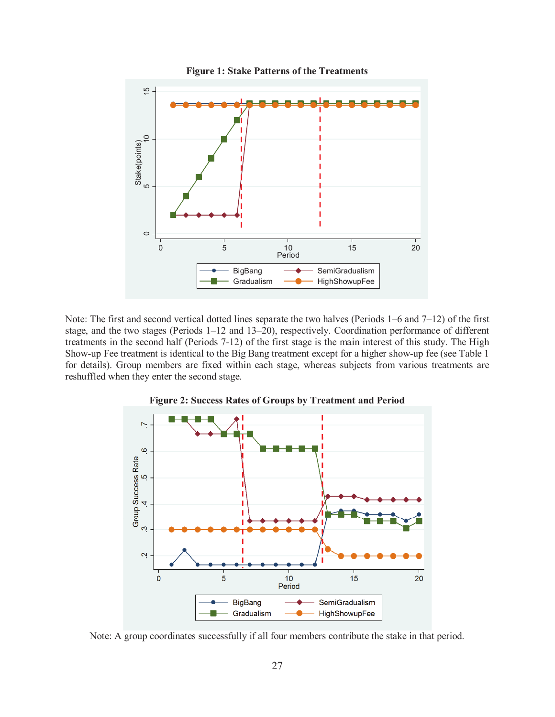

Note: The first and second vertical dotted lines separate the two halves (Periods  $1-6$  and  $7-12$ ) of the first stage, and the two stages (Periods 1–12 and 13–20), respectively. Coordination performance of different treatments in the second half (Periods 7-12) of the first stage is the main interest of this study. The High Show-up Fee treatment is identical to the Big Bang treatment except for a higher show-up fee (see Table 1 for details). Group members are fixed within each stage, whereas subjects from various treatments are reshuffled when they enter the second stage.





Note: A group coordinates successfully if all four members contribute the stake in that period.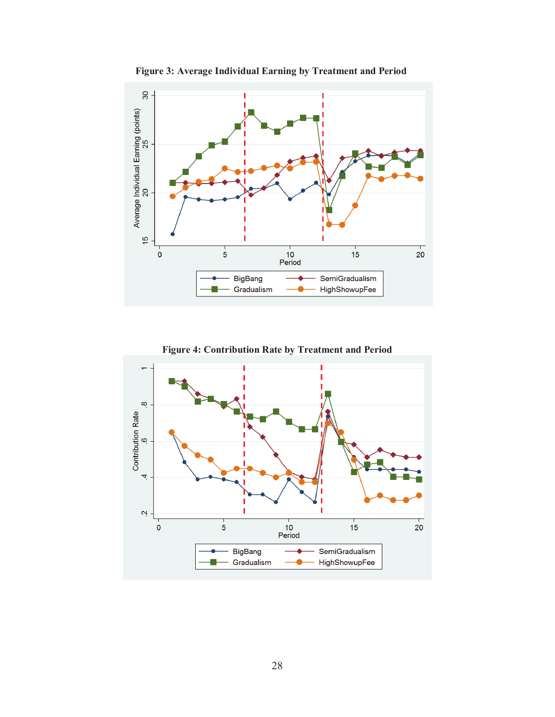

Figure 3: Average Individual Earning by Treatment and Period

Figure 4: Contribution Rate by Treatment and Period

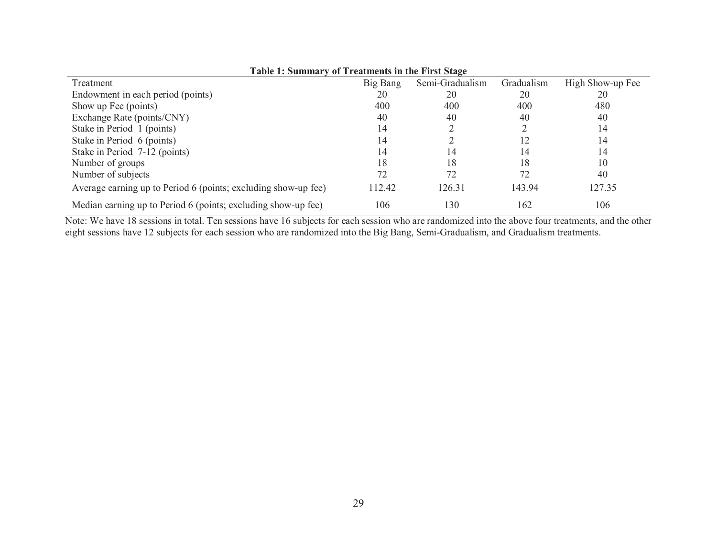| Table 1: Summary of Treatments in the First Stage              |          |                 |            |                  |
|----------------------------------------------------------------|----------|-----------------|------------|------------------|
| Treatment                                                      | Big Bang | Semi-Gradualism | Gradualism | High Show-up Fee |
| Endowment in each period (points)                              | 20       | 20              | 20         | 20               |
| Show up Fee (points)                                           | 400      | 400             | 400        | 480              |
| Exchange Rate (points/CNY)                                     | 40       | 40              | 40         | 40               |
| Stake in Period 1 (points)                                     | 14       |                 |            | 14               |
| Stake in Period 6 (points)                                     | 14       |                 | 12         | 14               |
| Stake in Period 7-12 (points)                                  | 14       | 14              | 14         | 14               |
| Number of groups                                               | 18       | 18              | 18         | 10               |
| Number of subjects                                             | 72       | 72              | 72         | 40               |
| Average earning up to Period 6 (points; excluding show-up fee) | 112.42   | 126.31          | 143.94     | 127.35           |
| Median earning up to Period 6 (points; excluding show-up fee)  | 106      | 130             | 162        | 106              |

Note: We have 18 sessions in total. Ten sessions have 16 subjects for each session who are randomized into the above four treatments, and the other eight sessions have 12 subjects for each session who are randomized into the Big Bang, Semi-Gradualism, and Gradualism treatments.